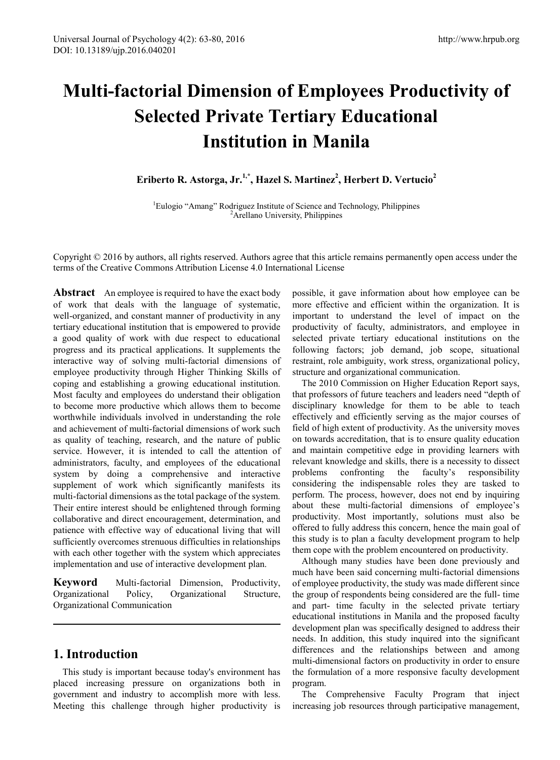# **Multi-factorial Dimension of Employees Productivity of Selected Private Tertiary Educational Institution in Manila**

Eriberto R. Astorga, Jr.<sup>1,\*</sup>, Hazel S. Martinez<sup>2</sup>, Herbert D. Vertucio<sup>2</sup>

<sup>1</sup>Eulogio "Amang" Rodriguez Institute of Science and Technology, Philippines <sup>2</sup>Arellano University, Philippines

Copyright © 2016 by authors, all rights reserved. Authors agree that this article remains permanently open access under the terms of the Creative Commons Attribution License 4.0 International License

**Abstract** An employee is required to have the exact body of work that deals with the language of systematic, well-organized, and constant manner of productivity in any tertiary educational institution that is empowered to provide a good quality of work with due respect to educational progress and its practical applications. It supplements the interactive way of solving multi-factorial dimensions of employee productivity through Higher Thinking Skills of coping and establishing a growing educational institution. Most faculty and employees do understand their obligation to become more productive which allows them to become worthwhile individuals involved in understanding the role and achievement of multi-factorial dimensions of work such as quality of teaching, research, and the nature of public service. However, it is intended to call the attention of administrators, faculty, and employees of the educational system by doing a comprehensive and interactive supplement of work which significantly manifests its multi-factorial dimensions as the total package of the system. Their entire interest should be enlightened through forming collaborative and direct encouragement, determination, and patience with effective way of educational living that will sufficiently overcomes strenuous difficulties in relationships with each other together with the system which appreciates implementation and use of interactive development plan.

**Keyword** Multi-factorial Dimension, Productivity, Organizational Policy, Organizational Structure, Organizational Communication

# **1. Introduction**

This study is important because today's environment has placed increasing pressure on organizations both in government and industry to accomplish more with less. Meeting this challenge through higher productivity is possible, it gave information about how employee can be more effective and efficient within the organization. It is important to understand the level of impact on the productivity of faculty, administrators, and employee in selected private tertiary educational institutions on the following factors; job demand, job scope, situational restraint, role ambiguity, work stress, organizational policy, structure and organizational communication.

The 2010 Commission on Higher Education Report says, that professors of future teachers and leaders need "depth of disciplinary knowledge for them to be able to teach effectively and efficiently serving as the major courses of field of high extent of productivity. As the university moves on towards accreditation, that is to ensure quality education and maintain competitive edge in providing learners with relevant knowledge and skills, there is a necessity to dissect problems confronting the faculty's responsibility considering the indispensable roles they are tasked to perform. The process, however, does not end by inquiring about these multi-factorial dimensions of employee's productivity. Most importantly, solutions must also be offered to fully address this concern, hence the main goal of this study is to plan a faculty development program to help them cope with the problem encountered on productivity.

Although many studies have been done previously and much have been said concerning multi-factorial dimensions of employee productivity, the study was made different since the group of respondents being considered are the full- time and part- time faculty in the selected private tertiary educational institutions in Manila and the proposed faculty development plan was specifically designed to address their needs. In addition, this study inquired into the significant differences and the relationships between and among multi-dimensional factors on productivity in order to ensure the formulation of a more responsive faculty development program.

The Comprehensive Faculty Program that inject increasing job resources through participative management,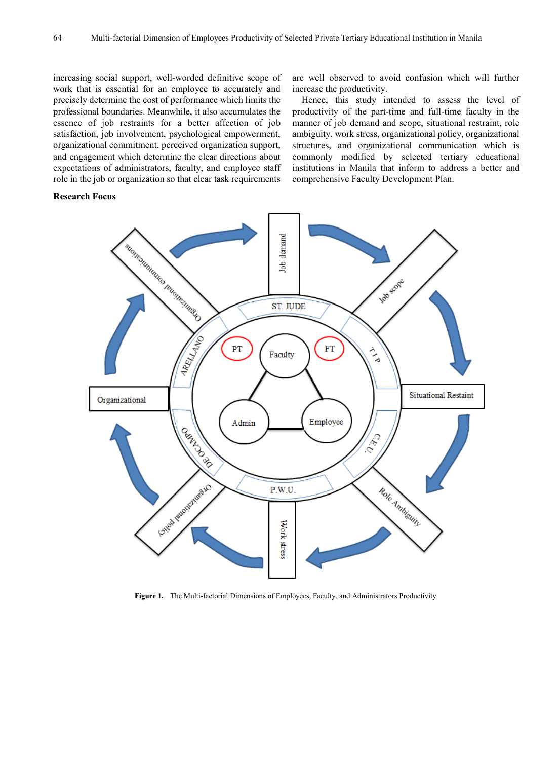increasing social support, well-worded definitive scope of work that is essential for an employee to accurately and precisely determine the cost of performance which limits the professional boundaries. Meanwhile, it also accumulates the essence of job restraints for a better affection of job satisfaction, job involvement, psychological empowerment, organizational commitment, perceived organization support, and engagement which determine the clear directions about expectations of administrators, faculty, and employee staff role in the job or organization so that clear task requirements

are well observed to avoid confusion which will further increase the productivity.

Hence, this study intended to assess the level of productivity of the part-time and full-time faculty in the manner of job demand and scope, situational restraint, role ambiguity, work stress, organizational policy, organizational structures, and organizational communication which is commonly modified by selected tertiary educational institutions in Manila that inform to address a better and comprehensive Faculty Development Plan.

#### **Research Focus**



**Figure 1.** The Multi-factorial Dimensions of Employees, Faculty, and Administrators Productivity.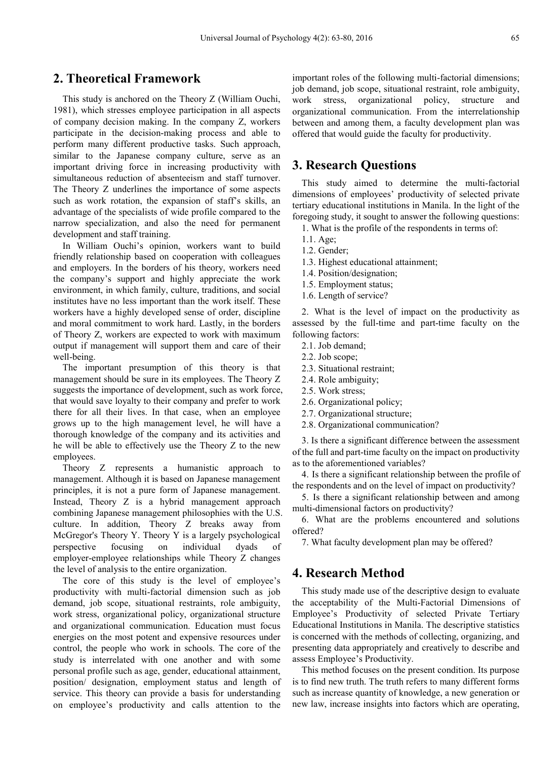## **2. Theoretical Framework**

This study is anchored on the Theory Z (William Ouchi, 1981), which stresses employee participation in all aspects of company decision making. In the company Z, workers participate in the decision-making process and able to perform many different productive tasks. Such approach, similar to the Japanese company culture, serve as an important driving force in increasing productivity with simultaneous reduction of absenteeism and staff turnover. The Theory Z underlines the importance of some aspects such as work rotation, the expansion of staff's skills, an advantage of the specialists of wide profile compared to the narrow specialization, and also the need for permanent development and staff training.

In William Ouchi's opinion, workers want to build friendly relationship based on cooperation with colleagues and employers. In the borders of his theory, workers need the company's support and highly appreciate the work environment, in which family, culture, traditions, and social institutes have no less important than the work itself. These workers have a highly developed sense of order, discipline and moral commitment to work hard. Lastly, in the borders of Theory Z, workers are expected to work with maximum output if management will support them and care of their well-being.

The important presumption of this theory is that management should be sure in its employees. The Theory Z suggests the importance of development, such as work force, that would save loyalty to their company and prefer to work there for all their lives. In that case, when an employee grows up to the high management level, he will have a thorough knowledge of the company and its activities and he will be able to effectively use the Theory Z to the new employees.

Theory Z represents a humanistic approach to management. Although it is based on Japanese management principles, it is not a pure form of Japanese management. Instead, Theory Z is a hybrid management approach combining Japanese management philosophies with the U.S. culture. In addition, Theory Z breaks away from McGregor's Theory Y. Theory Y is a largely psychological perspective focusing on individual dyads of employer-employee relationships while Theory Z changes the level of analysis to the entire organization.

The core of this study is the level of employee's productivity with multi-factorial dimension such as job demand, job scope, situational restraints, role ambiguity, work stress, organizational policy, organizational structure and organizational communication. Education must focus energies on the most potent and expensive resources under control, the people who work in schools. The core of the study is interrelated with one another and with some personal profile such as age, gender, educational attainment, position/ designation, employment status and length of service. This theory can provide a basis for understanding on employee's productivity and calls attention to the

important roles of the following multi-factorial dimensions; job demand, job scope, situational restraint, role ambiguity, work stress, organizational policy, structure and organizational communication. From the interrelationship between and among them, a faculty development plan was offered that would guide the faculty for productivity.

## **3. Research Questions**

This study aimed to determine the multi-factorial dimensions of employees' productivity of selected private tertiary educational institutions in Manila. In the light of the foregoing study, it sought to answer the following questions:

- 1. What is the profile of the respondents in terms of:
- 1.1. Age;
- 1.2. Gender;
- 1.3. Highest educational attainment;
- 1.4. Position/designation;
- 1.5. Employment status;
- 1.6. Length of service?

2. What is the level of impact on the productivity as assessed by the full-time and part-time faculty on the following factors:

- 2.1. Job demand;
- 2.2. Job scope;
- 2.3. Situational restraint;
- 2.4. Role ambiguity;
- 2.5. Work stress;
- 2.6. Organizational policy;
- 2.7. Organizational structure;
- 2.8. Organizational communication?

3. Is there a significant difference between the assessment of the full and part-time faculty on the impact on productivity as to the aforementioned variables?

4. Is there a significant relationship between the profile of the respondents and on the level of impact on productivity?

5. Is there a significant relationship between and among multi-dimensional factors on productivity?

6. What are the problems encountered and solutions offered?

7. What faculty development plan may be offered?

## **4. Research Method**

This study made use of the descriptive design to evaluate the acceptability of the Multi-Factorial Dimensions of Employee's Productivity of selected Private Tertiary Educational Institutions in Manila. The descriptive statistics is concerned with the methods of collecting, organizing, and presenting data appropriately and creatively to describe and assess Employee's Productivity.

This method focuses on the present condition. Its purpose is to find new truth. The truth refers to many different forms such as increase quantity of knowledge, a new generation or new law, increase insights into factors which are operating,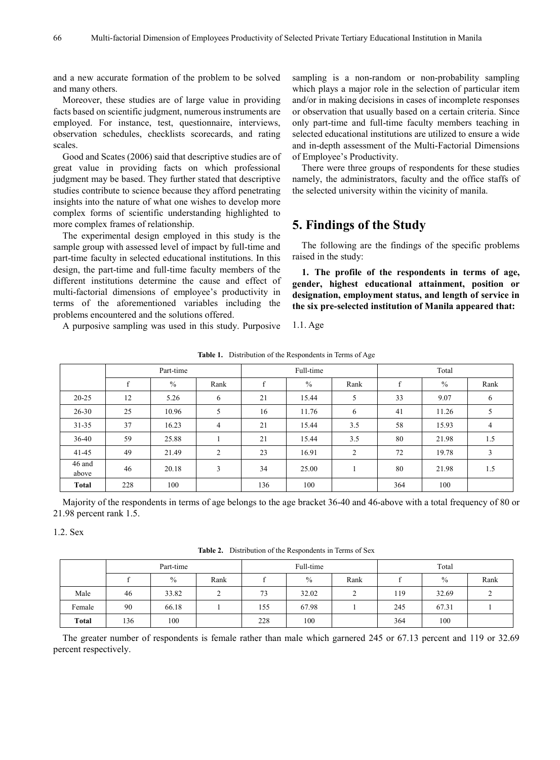and a new accurate formation of the problem to be solved and many others.

Moreover, these studies are of large value in providing facts based on scientific judgment, numerous instruments are employed. For instance, test, questionnaire, interviews, observation schedules, checklists scorecards, and rating scales.

Good and Scates (2006) said that descriptive studies are of great value in providing facts on which professional judgment may be based. They further stated that descriptive studies contribute to science because they afford penetrating insights into the nature of what one wishes to develop more complex forms of scientific understanding highlighted to more complex frames of relationship.

The experimental design employed in this study is the sample group with assessed level of impact by full-time and part-time faculty in selected educational institutions. In this design, the part-time and full-time faculty members of the different institutions determine the cause and effect of multi-factorial dimensions of employee's productivity in terms of the aforementioned variables including the problems encountered and the solutions offered.

sampling is a non-random or non-probability sampling which plays a major role in the selection of particular item and/or in making decisions in cases of incomplete responses or observation that usually based on a certain criteria. Since only part-time and full-time faculty members teaching in selected educational institutions are utilized to ensure a wide and in-depth assessment of the Multi-Factorial Dimensions of Employee's Productivity.

There were three groups of respondents for these studies namely, the administrators, faculty and the office staffs of the selected university within the vicinity of manila.

# **5. Findings of the Study**

The following are the findings of the specific problems raised in the study:

**1. The profile of the respondents in terms of age, gender, highest educational attainment, position or designation, employment status, and length of service in the six pre-selected institution of Manila appeared that:**

A purposive sampling was used in this study. Purposive

**Table 1.** Distribution of the Respondents in Terms of Age

1.1. Age

|                 |              | Part-time     |                |              | Full-time |      | Total |               |      |  |  |
|-----------------|--------------|---------------|----------------|--------------|-----------|------|-------|---------------|------|--|--|
|                 | $\mathbf{f}$ | $\frac{0}{0}$ | Rank           | $\mathbf{f}$ | $\%$      | Rank | f     | $\frac{0}{0}$ | Rank |  |  |
| $20 - 25$       | 12           | 5.26          | 6              | 21           | 15.44     | 5    | 33    | 9.07          | 6    |  |  |
| $26 - 30$       | 25           | 10.96         | 5              | 16           | 11.76     | 6    | 41    | 11.26         |      |  |  |
| $31 - 35$       | 37           | 16.23         | $\overline{4}$ | 21           | 15.44     | 3.5  | 58    | 15.93         | 4    |  |  |
| 36-40           | 59           | 25.88         |                | 21           | 15.44     | 3.5  | 80    | 21.98         | 1.5  |  |  |
| $41 - 45$       | 49           | 21.49         | 2              | 23           | 16.91     | 2    | 72    | 19.78         | 3    |  |  |
| 46 and<br>above | 46           | 20.18         | 3              | 34           | 25.00     |      | 80    | 21.98         | 1.5  |  |  |
| Total           | 228          | 100           |                | 136          | 100       |      | 364   | 100           |      |  |  |

Majority of the respondents in terms of age belongs to the age bracket 36-40 and 46-above with a total frequency of 80 or 21.98 percent rank 1.5.

1.2. Sex

**Table 2.** Distribution of the Respondents in Terms of Sex

|        | Part-time |       |      |     | Full-time     |      | Total |       |      |  |  |
|--------|-----------|-------|------|-----|---------------|------|-------|-------|------|--|--|
|        |           | $\%$  | Rank |     | $\frac{0}{0}$ | Rank |       | $\%$  | Rank |  |  |
| Male   | 46        | 33.82 |      | 73  | 32.02         |      | 119   | 32.69 |      |  |  |
| Female | 90        | 66.18 |      | 155 | 67.98         |      | 245   | 67.31 |      |  |  |
| Total  | 136       | 100   |      | 228 | 100           |      | 364   | 100   |      |  |  |

The greater number of respondents is female rather than male which garnered 245 or 67.13 percent and 119 or 32.69 percent respectively.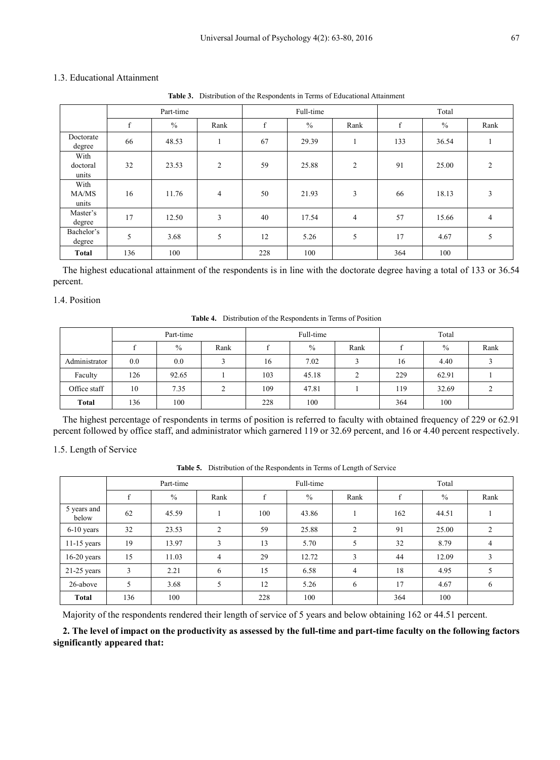## 1.3. Educational Attainment

**Table 3.** Distribution of the Respondents in Terms of Educational Attainment

|                           |     | Part-time     |                |              | Full-time     |                | Total       |       |                |  |  |
|---------------------------|-----|---------------|----------------|--------------|---------------|----------------|-------------|-------|----------------|--|--|
|                           | f   | $\frac{0}{0}$ | Rank           | $\mathbf{f}$ | $\frac{0}{0}$ | Rank           | $\mathbf f$ | $\%$  | Rank           |  |  |
| Doctorate<br>degree       | 66  | 48.53         |                | 67           | 29.39         | 1              | 133         | 36.54 |                |  |  |
| With<br>doctoral<br>units | 32  | 23.53         | $\overline{c}$ | 59           | 25.88         | $\overline{c}$ | 91          | 25.00 | $\overline{2}$ |  |  |
| With<br>MA/MS<br>units    | 16  | 11.76         | $\overline{4}$ | 50           | 21.93         | 3              | 66          | 18.13 | 3              |  |  |
| Master's<br>degree        | 17  | 12.50         | 3              | 40           | 17.54         | $\overline{4}$ | 57          | 15.66 | 4              |  |  |
| Bachelor's<br>degree      | 5   | 3.68          | 5              | 12           | 5.26          | 5              | 17          | 4.67  | 5              |  |  |
| <b>Total</b>              | 136 | 100           |                | 228          | 100           |                | 364         | 100   |                |  |  |

The highest educational attainment of the respondents is in line with the doctorate degree having a total of 133 or 36.54 percent.

## 1.4. Position

**Table 4.** Distribution of the Respondents in Terms of Position

|               |     | Part-time     |               |     | Full-time |      | Total |               |      |  |  |
|---------------|-----|---------------|---------------|-----|-----------|------|-------|---------------|------|--|--|
|               |     | $\frac{0}{0}$ | Rank          |     | $\%$      | Rank |       | $\frac{0}{0}$ | Rank |  |  |
| Administrator | 0.0 | 0.0           | ∍             | 16  | 7.02      |      | 16    | 4.40          |      |  |  |
| Faculty       | 126 | 92.65         |               | 103 | 45.18     | ∍    | 229   | 62.91         |      |  |  |
| Office staff  | 10  | 7.35          | $\gamma$<br>∠ | 109 | 47.81     |      | 119   | 32.69         |      |  |  |
| <b>Total</b>  | 136 | 100           |               | 228 | 100       |      | 364   | 100           |      |  |  |

The highest percentage of respondents in terms of position is referred to faculty with obtained frequency of 229 or 62.91 percent followed by office staff, and administrator which garnered 119 or 32.69 percent, and 16 or 4.40 percent respectively.

#### 1.5. Length of Service

**Table 5.** Distribution of the Respondents in Terms of Length of Service

|                      |     | Part-time |                |              | Full-time |                | Total |       |      |  |  |
|----------------------|-----|-----------|----------------|--------------|-----------|----------------|-------|-------|------|--|--|
|                      | f   | $\%$      | Rank           | $\mathbf{f}$ | $\%$      | Rank           | f     | $\%$  | Rank |  |  |
| 5 years and<br>below | 62  | 45.59     |                | 100          | 43.86     |                | 162   | 44.51 |      |  |  |
| $6-10$ years         | 32  | 23.53     | $\overline{2}$ | 59           | 25.88     | 2              | 91    | 25.00 | 2    |  |  |
| $11-15$ years        | 19  | 13.97     | 3              | 13           | 5.70      | 5              | 32    | 8.79  | 4    |  |  |
| $16-20$ years        | 15  | 11.03     | $\overline{4}$ | 29           | 12.72     | 3              | 44    | 12.09 | 3    |  |  |
| $21-25$ years        | 3   | 2.21      | 6              | 15           | 6.58      | $\overline{4}$ | 18    | 4.95  | 5    |  |  |
| 26-above             | 5   | 3.68      | 5              | 12           | 5.26      | 6              | 17    | 4.67  | 6    |  |  |
| <b>Total</b>         | 136 | 100       |                | 228          | 100       |                | 364   | 100   |      |  |  |

Majority of the respondents rendered their length of service of 5 years and below obtaining 162 or 44.51 percent.

**2. The level of impact on the productivity as assessed by the full-time and part-time faculty on the following factors significantly appeared that:**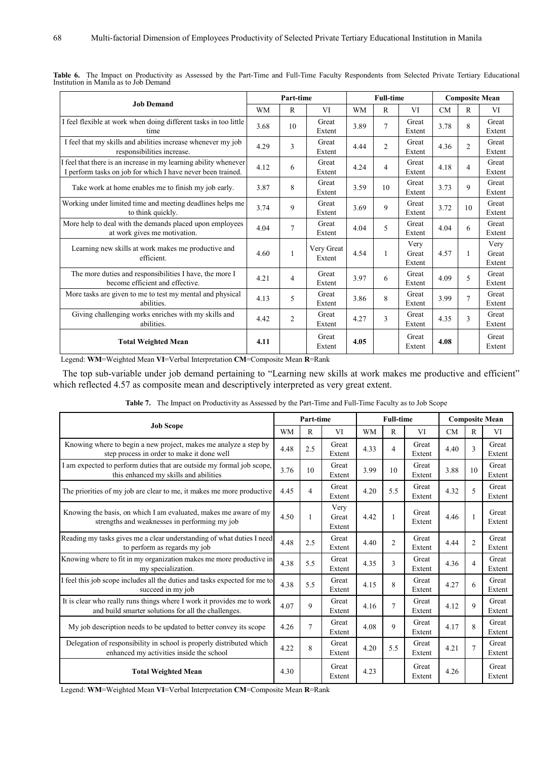|                                                                                                                                 |           | Part-time      |                      |           | <b>Full-time</b> |                         | <b>Composite Mean</b> |                |                         |  |
|---------------------------------------------------------------------------------------------------------------------------------|-----------|----------------|----------------------|-----------|------------------|-------------------------|-----------------------|----------------|-------------------------|--|
| <b>Job Demand</b>                                                                                                               | <b>WM</b> | $\mathbb{R}$   | VI                   | <b>WM</b> | $\mathbb{R}$     | VI                      | CM                    | R              | VI                      |  |
| I feel flexible at work when doing different tasks in too little<br>time                                                        | 3.68      | 10             | Great<br>Extent      | 3.89      | 7                | Great<br>Extent         | 3.78                  | 8              | Great<br>Extent         |  |
| I feel that my skills and abilities increase whenever my job<br>responsibilities increase.                                      | 4.29      | 3              | Great<br>Extent      | 4.44      | $\overline{c}$   | Great<br>Extent         | 4.36                  | $\overline{2}$ | Great<br>Extent         |  |
| I feel that there is an increase in my learning ability whenever<br>I perform tasks on job for which I have never been trained. | 4.12      | 6              | Great<br>Extent      | 4.24      | 4                | Great<br>Extent         | 4.18                  | $\overline{4}$ | Great<br>Extent         |  |
| Take work at home enables me to finish my job early.                                                                            | 3.87      | 8              | Great<br>Extent      | 3.59      | 10               | Great<br>Extent         | 3.73                  | 9              | Great<br>Extent         |  |
| Working under limited time and meeting deadlines helps me<br>to think quickly.                                                  | 3.74      | 9              | Great<br>Extent      | 3.69      | 9                | Great<br>Extent         | 3.72                  | 10             | Great<br>Extent         |  |
| More help to deal with the demands placed upon employees<br>at work gives me motivation.                                        | 4.04      | 7              | Great<br>Extent      | 4.04      | 5                | Great<br>Extent         | 4.04                  | 6              | Great<br>Extent         |  |
| Learning new skills at work makes me productive and<br>efficient.                                                               | 4.60      | 1              | Very Great<br>Extent | 4.54      |                  | Very<br>Great<br>Extent | 4.57                  | 1              | Very<br>Great<br>Extent |  |
| The more duties and responsibilities I have, the more I<br>become efficient and effective.                                      | 4.21      | 4              | Great<br>Extent      | 3.97      | 6                | Great<br>Extent         | 4.09                  | 5              | Great<br>Extent         |  |
| More tasks are given to me to test my mental and physical<br>abilities.                                                         | 4.13      | 5              | Great<br>Extent      | 3.86      | 8                | Great<br>Extent         | 3.99                  | $\overline{7}$ | Great<br>Extent         |  |
| Giving challenging works enriches with my skills and<br>abilities.                                                              | 4.42      | $\overline{2}$ | Great<br>Extent      | 4.27      | 3                | Great<br>Extent         | 4.35                  | 3              | Great<br>Extent         |  |
| <b>Total Weighted Mean</b>                                                                                                      | 4.11      |                | Great<br>Extent      | 4.05      |                  | Great<br>Extent         | 4.08                  |                | Great<br>Extent         |  |

| Table 6. The Impact on Productivity as Assessed by the Part-Time and Full-Time Faculty Respondents from Selected Private Tertiary Educational |  |  |  |  |  |  |  |
|-----------------------------------------------------------------------------------------------------------------------------------------------|--|--|--|--|--|--|--|
| Institution in Manila as to Job Demand                                                                                                        |  |  |  |  |  |  |  |

Legend: **WM**=Weighted Mean **VI**=Verbal Interpretation **CM**=Composite Mean **R**=Rank

The top sub-variable under job demand pertaining to "Learning new skills at work makes me productive and efficient" which reflected 4.57 as composite mean and descriptively interpreted as very great extent.

|                                                                                                                               |           | Part-time |                         |           | <b>Full-time</b> |                 |      |                | <b>Composite Mean</b> |
|-------------------------------------------------------------------------------------------------------------------------------|-----------|-----------|-------------------------|-----------|------------------|-----------------|------|----------------|-----------------------|
| <b>Job Scope</b>                                                                                                              | <b>WM</b> | R         | VI                      | <b>WM</b> | R                | VI              | CM   | R              | VI                    |
| Knowing where to begin a new project, makes me analyze a step by<br>step process in order to make it done well                | 4.48      | 2.5       | Great<br>Extent         | 4.33      | 4                | Great<br>Extent | 4.40 | 3              | Great<br>Extent       |
| I am expected to perform duties that are outside my formal job scope,<br>this enhanced my skills and abilities                | 3.76      | 10        | Great<br>Extent         | 3.99      | 10               | Great<br>Extent | 3.88 | 10             | Great<br>Extent       |
| The priorities of my job are clear to me, it makes me more productive                                                         | 4.45      | 4         | Great<br>Extent         | 4.20      | 5.5              | Great<br>Extent | 4.32 | 5              | Great<br>Extent       |
| Knowing the basis, on which I am evaluated, makes me aware of my<br>strengths and weaknesses in performing my job             | 4.50      |           | Very<br>Great<br>Extent | 4.42      |                  | Great<br>Extent | 4.46 | 1              | Great<br>Extent       |
| Reading my tasks gives me a clear understanding of what duties I need<br>to perform as regards my job                         | 4.48      | 2.5       | Great<br>Extent         | 4.40      | $\overline{2}$   | Great<br>Extent | 4.44 | $\overline{2}$ | Great<br>Extent       |
| Knowing where to fit in my organization makes me more productive in<br>my specialization.                                     | 4.38      | 5.5       | Great<br>Extent         | 4.35      | 3                | Great<br>Extent | 4.36 | $\overline{4}$ | Great<br>Extent       |
| I feel this job scope includes all the duties and tasks expected for me to<br>succeed in my job                               | 4.38      | 5.5       | Great<br>Extent         | 4.15      | 8                | Great<br>Extent | 4.27 | 6              | Great<br>Extent       |
| It is clear who really runs things where I work it provides me to work<br>and build smarter solutions for all the challenges. | 4.07      | 9         | Great<br>Extent         | 4.16      | 7                | Great<br>Extent | 4.12 | 9              | Great<br>Extent       |
| My job description needs to be updated to better convey its scope                                                             | 4.26      | 7         | Great<br>Extent         | 4.08      | $\mathbf Q$      | Great<br>Extent | 4.17 | 8              | Great<br>Extent       |
| Delegation of responsibility in school is properly distributed which<br>enhanced my activities inside the school              | 4.22      | 8         | Great<br>Extent         | 4.20      | 5.5              | Great<br>Extent | 4.21 | $\overline{7}$ | Great<br>Extent       |
| <b>Total Weighted Mean</b>                                                                                                    | 4.30      |           | Great<br>Extent         | 4.23      |                  | Great<br>Extent | 4.26 |                | Great<br>Extent       |

Table 7. The Impact on Productivity as Assessed by the Part-Time and Full-Time Faculty as to Job Scope

Legend: **WM**=Weighted Mean **VI**=Verbal Interpretation **CM**=Composite Mean **R**=Rank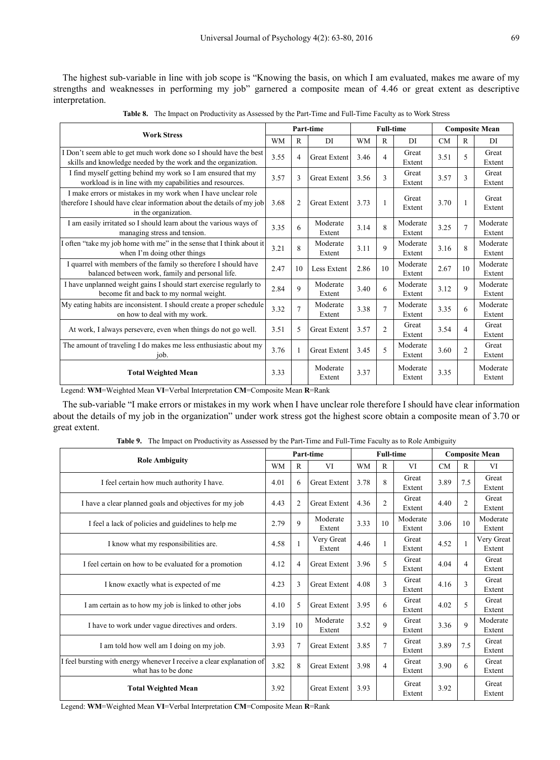The highest sub-variable in line with job scope is "Knowing the basis, on which I am evaluated, makes me aware of my strengths and weaknesses in performing my job" garnered a composite mean of 4.46 or great extent as descriptive interpretation.

| <b>Table 8.</b> The Impact on Productivity as Assessed by the Part-Time and Full-Time Faculty as to Work Stress |
|-----------------------------------------------------------------------------------------------------------------|
|-----------------------------------------------------------------------------------------------------------------|

| <b>Work Stress</b>                                                                                                                                             |           |                | Part-time           |           | <b>Full-time</b> |                    |           |                | <b>Composite Mean</b> |
|----------------------------------------------------------------------------------------------------------------------------------------------------------------|-----------|----------------|---------------------|-----------|------------------|--------------------|-----------|----------------|-----------------------|
|                                                                                                                                                                | <b>WM</b> | R              | DI                  | <b>WM</b> | R                | DI                 | <b>CM</b> | R              | DI                    |
| I Don't seem able to get much work done so I should have the best<br>skills and knowledge needed by the work and the organization.                             | 3.55      | 4              | <b>Great Extent</b> | 3.46      | 4                | Great<br>Extent    | 3.51      | 5              | Great<br>Extent       |
| I find myself getting behind my work so I am ensured that my<br>workload is in line with my capabilities and resources.                                        | 3.57      | 3              | <b>Great Extent</b> | 3.56      | 3                | Great<br>Extent    | 3.57      | 3              | Great<br>Extent       |
| I make errors or mistakes in my work when I have unclear role<br>therefore I should have clear information about the details of my job<br>in the organization. | 3.68      | $\overline{2}$ | <b>Great Extent</b> | 3.73      |                  | Great<br>Extent    | 3.70      |                | Great<br>Extent       |
| I am easily irritated so I should learn about the various ways of<br>managing stress and tension.                                                              | 3.35      | 6              | Moderate<br>Extent  | 3.14      | 8                | Moderate<br>Extent | 3.25      | $\overline{7}$ | Moderate<br>Extent    |
| I often "take my job home with me" in the sense that I think about it<br>when I'm doing other things                                                           | 3.21      | 8              | Moderate<br>Extent  | 3.11      | 9                | Moderate<br>Extent | 3.16      | 8              | Moderate<br>Extent    |
| I quarrel with members of the family so therefore I should have<br>balanced between work, family and personal life.                                            | 2.47      | 10             | Less Extent         | 2.86      | 10               | Moderate<br>Extent | 2.67      | 10             | Moderate<br>Extent    |
| I have unplanned weight gains I should start exercise regularly to<br>become fit and back to my normal weight.                                                 | 2.84      | $\mathbf Q$    | Moderate<br>Extent  | 3.40      | 6                | Moderate<br>Extent | 3.12      | 9              | Moderate<br>Extent    |
| My eating habits are inconsistent. I should create a proper schedule<br>on how to deal with my work.                                                           | 3.32      | $\overline{7}$ | Moderate<br>Extent  | 3.38      | $\overline{7}$   | Moderate<br>Extent | 3.35      | 6              | Moderate<br>Extent    |
| At work, I always persevere, even when things do not go well.                                                                                                  | 3.51      | 5              | <b>Great Extent</b> | 3.57      | $\overline{2}$   | Great<br>Extent    | 3.54      | 4              | Great<br>Extent       |
| The amount of traveling I do makes me less enthusiastic about my<br>job.                                                                                       | 3.76      | 1              | <b>Great Extent</b> | 3.45      | 5                | Moderate<br>Extent | 3.60      | $\overline{c}$ | Great<br>Extent       |
| <b>Total Weighted Mean</b>                                                                                                                                     | 3.33      |                | Moderate<br>Extent  | 3.37      |                  | Moderate<br>Extent | 3.35      |                | Moderate<br>Extent    |

Legend: **WM**=Weighted Mean **VI**=Verbal Interpretation **CM**=Composite Mean **R**=Rank

The sub-variable "I make errors or mistakes in my work when I have unclear role therefore I should have clear information about the details of my job in the organization" under work stress got the highest score obtain a composite mean of 3.70 or great extent.

**Table 9.** The Impact on Productivity as Assessed by the Part-Time and Full-Time Faculty as to Role Ambiguity

|                                                                                              |           |                | Part-time            |           | <b>Full-time</b> |                    | <b>Composite Mean</b> |                |                      |  |
|----------------------------------------------------------------------------------------------|-----------|----------------|----------------------|-----------|------------------|--------------------|-----------------------|----------------|----------------------|--|
| <b>Role Ambiguity</b>                                                                        | <b>WM</b> | R              | VI                   | <b>WM</b> | R                | VI                 | <b>CM</b>             | R              | VI                   |  |
| I feel certain how much authority I have.                                                    | 4.01      | 6              | <b>Great Extent</b>  | 3.78      | 8                | Great<br>Extent    | 3.89                  | 7.5            | Great<br>Extent      |  |
| I have a clear planned goals and objectives for my job                                       | 4.43      | $\overline{2}$ | <b>Great Extent</b>  | 4.36      | 2                | Great<br>Extent    | 4.40                  | $\overline{2}$ | Great<br>Extent      |  |
| I feel a lack of policies and guidelines to help me                                          | 2.79      | 9              | Moderate<br>Extent   | 3.33      | 10               | Moderate<br>Extent | 3.06                  | 10             | Moderate<br>Extent   |  |
| I know what my responsibilities are.                                                         | 4.58      |                | Very Great<br>Extent | 4.46      |                  | Great<br>Extent    | 4.52                  |                | Very Great<br>Extent |  |
| I feel certain on how to be evaluated for a promotion                                        | 4.12      | 4              | <b>Great Extent</b>  | 3.96      | 5                | Great<br>Extent    | 4.04                  | 4              | Great<br>Extent      |  |
| I know exactly what is expected of me                                                        | 4.23      | 3              | <b>Great Extent</b>  | 4.08      | 3                | Great<br>Extent    | 4.16                  | 3              | Great<br>Extent      |  |
| I am certain as to how my job is linked to other jobs                                        | 4.10      | 5              | <b>Great Extent</b>  | 3.95      | 6                | Great<br>Extent    | 4.02                  | 5              | Great<br>Extent      |  |
| I have to work under vague directives and orders.                                            | 3.19      | 10             | Moderate<br>Extent   | 3.52      | 9                | Great<br>Extent    | 3.36                  | 9              | Moderate<br>Extent   |  |
| I am told how well am I doing on my job.                                                     | 3.93      | 7              | Great Extent         | 3.85      | $\overline{7}$   | Great<br>Extent    | 3.89                  | 7.5            | Great<br>Extent      |  |
| I feel bursting with energy whenever I receive a clear explanation of<br>what has to be done | 3.82      | 8              | <b>Great Extent</b>  | 3.98      | $\overline{4}$   | Great<br>Extent    | 3.90                  | 6              | Great<br>Extent      |  |
| <b>Total Weighted Mean</b>                                                                   | 3.92      |                | <b>Great Extent</b>  | 3.93      |                  | Great<br>Extent    | 3.92                  |                | Great<br>Extent      |  |

Legend: **WM**=Weighted Mean **VI**=Verbal Interpretation **CM**=Composite Mean **R**=Rank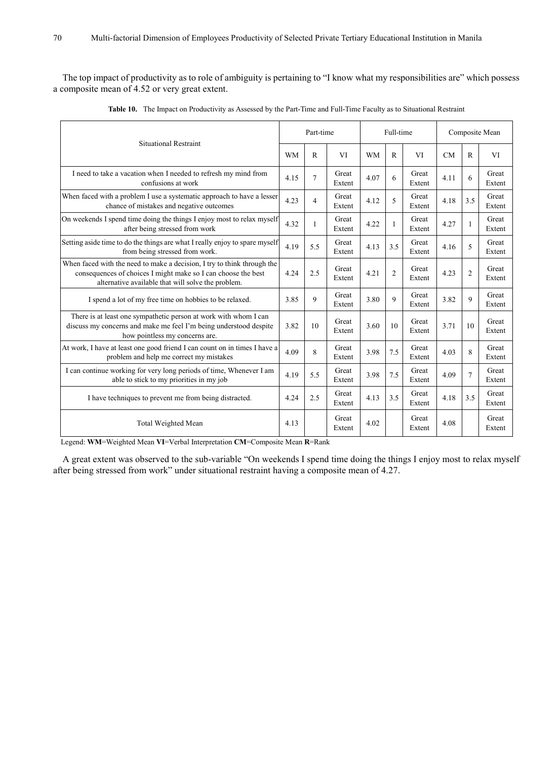The top impact of productivity as to role of ambiguity is pertaining to "I know what my responsibilities are" which possess a composite mean of 4.52 or very great extent.

| Situational Restraint                                                                                                                                                                          |           | Part-time      |                 |           | Full-time      |                 | Composite Mean |                |                 |
|------------------------------------------------------------------------------------------------------------------------------------------------------------------------------------------------|-----------|----------------|-----------------|-----------|----------------|-----------------|----------------|----------------|-----------------|
|                                                                                                                                                                                                | <b>WM</b> | $\mathbb{R}$   | <b>VI</b>       | <b>WM</b> | $\mathbb{R}$   | <b>VI</b>       | CM             | $\mathsf{R}$   | <b>VI</b>       |
| I need to take a vacation when I needed to refresh my mind from<br>confusions at work                                                                                                          | 4.15      | $\overline{7}$ | Great<br>Extent | 4.07      | 6              | Great<br>Extent | 4.11           | 6              | Great<br>Extent |
| When faced with a problem I use a systematic approach to have a lesser<br>chance of mistakes and negative outcomes                                                                             | 4.23      | 4              | Great<br>Extent | 4.12      | 5              | Great<br>Extent | 4.18           | 3.5            | Great<br>Extent |
| On weekends I spend time doing the things I enjoy most to relax myself<br>after being stressed from work                                                                                       | 4.32      | 1              | Great<br>Extent | 4.22      | $\mathbf{1}$   | Great<br>Extent | 4.27           | 1              | Great<br>Extent |
| Setting aside time to do the things are what I really enjoy to spare myself<br>from being stressed from work.                                                                                  | 4.19      | 5.5            | Great<br>Extent | 4.13      | 3.5            | Great<br>Extent | 4.16           | 5              | Great<br>Extent |
| When faced with the need to make a decision. I try to think through the<br>consequences of choices I might make so I can choose the best<br>alternative available that will solve the problem. | 4.24      | 2.5            | Great<br>Extent | 4.21      | $\overline{2}$ | Great<br>Extent | 4.23           | $\overline{2}$ | Great<br>Extent |
| I spend a lot of my free time on hobbies to be relaxed.                                                                                                                                        | 3.85      | 9              | Great<br>Extent | 3.80      | 9              | Great<br>Extent | 3.82           | 9              | Great<br>Extent |
| There is at least one sympathetic person at work with whom I can<br>discuss my concerns and make me feel I'm being understood despite<br>how pointless my concerns are.                        | 3.82      | 10             | Great<br>Extent | 3.60      | 10             | Great<br>Extent | 3.71           | 10             | Great<br>Extent |
| At work, I have at least one good friend I can count on in times I have a<br>problem and help me correct my mistakes                                                                           | 4.09      | 8              | Great<br>Extent | 3.98      | 7.5            | Great<br>Extent | 4.03           | 8              | Great<br>Extent |
| I can continue working for very long periods of time, Whenever I am<br>able to stick to my priorities in my job                                                                                | 4.19      | 5.5            | Great<br>Extent | 3.98      | 7.5            | Great<br>Extent | 4.09           | $\overline{7}$ | Great<br>Extent |
| I have techniques to prevent me from being distracted.                                                                                                                                         | 4.24      | 2.5            | Great<br>Extent | 4.13      | 3.5            | Great<br>Extent | 4.18           | 3.5            | Great<br>Extent |
| Total Weighted Mean                                                                                                                                                                            | 4.13      |                | Great<br>Extent | 4.02      |                | Great<br>Extent | 4.08           |                | Great<br>Extent |

**Table 10.** The Impact on Productivity as Assessed by the Part-Time and Full-Time Faculty as to Situational Restraint

Legend: **WM**=Weighted Mean **VI**=Verbal Interpretation **CM**=Composite Mean **R**=Rank

A great extent was observed to the sub-variable "On weekends I spend time doing the things I enjoy most to relax myself after being stressed from work" under situational restraint having a composite mean of 4.27.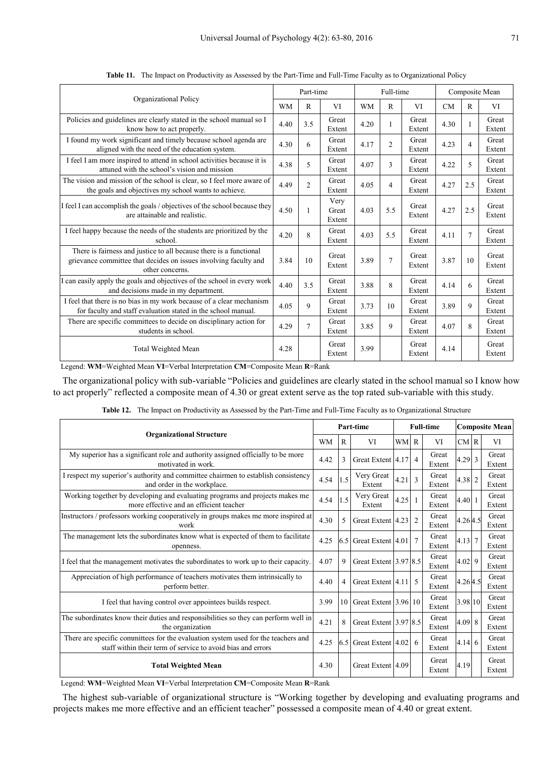|                                                                                                                                                           |           | Part-time      |                         | Full-time |                |                 | Composite Mean |                |                 |
|-----------------------------------------------------------------------------------------------------------------------------------------------------------|-----------|----------------|-------------------------|-----------|----------------|-----------------|----------------|----------------|-----------------|
| Organizational Policy                                                                                                                                     | <b>WM</b> | R              | <b>VI</b>               | <b>WM</b> | R              | VI              | <b>CM</b>      | R              | VI              |
| Policies and guidelines are clearly stated in the school manual so I<br>know how to act properly.                                                         | 4.40      | 3.5            | Great<br>Extent         | 4.20      | 1              | Great<br>Extent | 4.30           | $\mathbf{1}$   | Great<br>Extent |
| I found my work significant and timely because school agenda are<br>aligned with the need of the education system.                                        | 4.30      | 6              | Great<br>Extent         | 4.17      | $\overline{2}$ | Great<br>Extent | 4.23           | $\overline{4}$ | Great<br>Extent |
| I feel I am more inspired to attend in school activities because it is<br>attuned with the school's vision and mission                                    | 4.38      | 5              | Great<br>Extent         | 4.07      | $\mathcal{E}$  | Great<br>Extent | 4.22           | 5              | Great<br>Extent |
| The vision and mission of the school is clear, so I feel more aware of<br>the goals and objectives my school wants to achieve.                            | 4.49      | $\overline{c}$ | Great<br>Extent         | 4.05      | 4              | Great<br>Extent | 4.27           | 2.5            | Great<br>Extent |
| I feel I can accomplish the goals / objectives of the school because they<br>are attainable and realistic.                                                | 4.50      |                | Very<br>Great<br>Extent | 4.03      | 5.5            | Great<br>Extent | 4.27           | 2.5            | Great<br>Extent |
| I feel happy because the needs of the students are prioritized by the<br>school.                                                                          | 4.20      | 8              | Great<br>Extent         | 4.03      | 5.5            | Great<br>Extent | 4.11           | $\overline{7}$ | Great<br>Extent |
| There is fairness and justice to all because there is a functional<br>grievance committee that decides on issues involving faculty and<br>other concerns. | 3.84      | 10             | Great<br>Extent         | 3.89      | $\overline{7}$ | Great<br>Extent | 3.87           | 10             | Great<br>Extent |
| I can easily apply the goals and objectives of the school in every work<br>and decisions made in my department.                                           | 4.40      | 3.5            | Great<br>Extent         | 3.88      | 8              | Great<br>Extent | 4.14           | 6              | Great<br>Extent |
| I feel that there is no bias in my work because of a clear mechanism<br>for faculty and staff evaluation stated in the school manual.                     | 4.05      | 9              | Great<br>Extent         | 3.73      | 10             | Great<br>Extent | 3.89           | 9              | Great<br>Extent |
| There are specific committees to decide on disciplinary action for<br>students in school.                                                                 | 4.29      | 7              | Great<br>Extent         | 3.85      | 9              | Great<br>Extent | 4.07           | 8              | Great<br>Extent |
| Total Weighted Mean                                                                                                                                       | 4.28      |                | Great<br>Extent         | 3.99      |                | Great<br>Extent | 4.14           |                | Great<br>Extent |

**Table 11.** The Impact on Productivity as Assessed by the Part-Time and Full-Time Faculty as to Organizational Policy

Legend: **WM**=Weighted Mean **VI**=Verbal Interpretation **CM**=Composite Mean **R**=Rank

The organizational policy with sub-variable "Policies and guidelines are clearly stated in the school manual so I know how to act properly" reflected a composite mean of 4.30 or great extent serve as the top rated sub-variable with this study.

|                                                                                                                                                  |           |                | Part-time             | <b>Full-time</b> |                | <b>Composite Mean</b> |               |  |                 |
|--------------------------------------------------------------------------------------------------------------------------------------------------|-----------|----------------|-----------------------|------------------|----------------|-----------------------|---------------|--|-----------------|
| <b>Organizational Structure</b>                                                                                                                  | <b>WM</b> | $\mathbb{R}$   | VI                    | <b>WM</b>        | $\mathbb{R}$   | VI                    | CMR           |  | VI              |
| My superior has a significant role and authority assigned officially to be more<br>motivated in work.                                            | 4.42      | 3              | Great Extent 4.17     |                  | $\overline{4}$ | Great<br>Extent       | 4.29 3        |  | Great<br>Extent |
| I respect my superior's authority and committee chairmen to establish consistency<br>and order in the workplace.                                 | 4.54      | 1.5            | Very Great<br>Extent  | 4.21             | 3              | Great<br>Extent       | 4.38 2        |  | Great<br>Extent |
| Working together by developing and evaluating programs and projects makes me<br>more effective and an efficient teacher                          | 4.54      | 1.5            | Very Great<br>Extent  | 4.25             |                | Great<br>Extent       | 4.40 1        |  | Great<br>Extent |
| Instructors / professors working cooperatively in groups makes me more inspired at<br>work                                                       | 4.30      | 5              | Great Extent 4.23     |                  | $\overline{2}$ | Great<br>Extent       | 4.264.5       |  | Great<br>Extent |
| The management lets the subordinates know what is expected of them to facilitate<br>openness.                                                    | 4.25      | 6.5            | Great Extent 4.01     |                  | $\overline{7}$ | Great<br>Extent       | $4.13 \mid 7$ |  | Great<br>Extent |
| I feel that the management motivates the subordinates to work up to their capacity.                                                              | 4.07      | 9              | Great Extent 3.97 8.5 |                  |                | Great<br>Extent       | 4.02 9        |  | Great<br>Extent |
| Appreciation of high performance of teachers motivates them intrinsically to<br>perform better.                                                  | 4.40      | $\overline{4}$ | Great Extent 4.11     |                  | 5              | Great<br>Extent       | 4.264.5       |  | Great<br>Extent |
| I feel that having control over appointees builds respect.                                                                                       | 3.99      | 10             | Great Extent 3.96 10  |                  |                | Great<br>Extent       | 3.98 10       |  | Great<br>Extent |
| The subordinates know their duties and responsibilities so they can perform well in<br>the organization                                          | 4.21      | 8              | Great Extent 3.97 8.5 |                  |                | Great<br>Extent       | 4.09 8        |  | Great<br>Extent |
| There are specific committees for the evaluation system used for the teachers and<br>staff within their term of service to avoid bias and errors | 4.25      | 6.5            | Great Extent 4.02     |                  | 6              | Great<br>Extent       | $4.14\,6$     |  | Great<br>Extent |
| <b>Total Weighted Mean</b>                                                                                                                       | 4.30      |                | Great Extent 4.09     |                  |                | Great<br>Extent       | 4.19          |  | Great<br>Extent |

**Table 12.** The Impact on Productivity as Assessed by the Part-Time and Full-Time Faculty as to Organizational Structure

Legend: **WM**=Weighted Mean **VI**=Verbal Interpretation **CM**=Composite Mean **R**=Rank

The highest sub-variable of organizational structure is "Working together by developing and evaluating programs and projects makes me more effective and an efficient teacher" possessed a composite mean of 4.40 or great extent.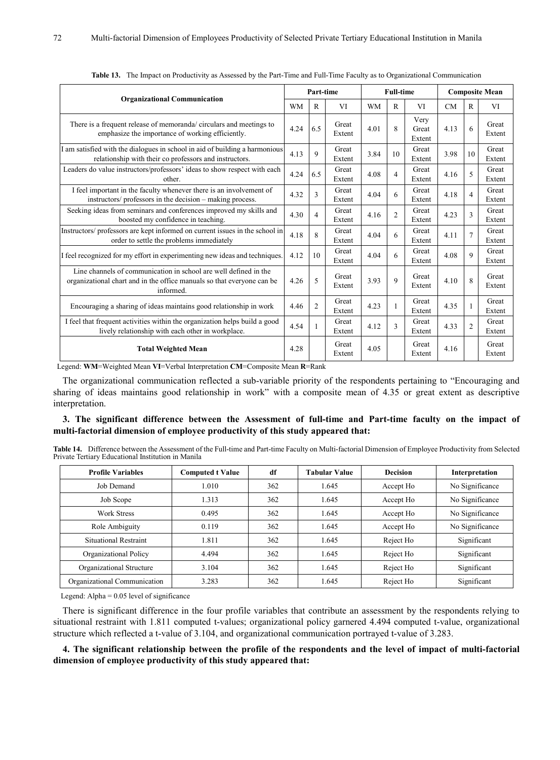|                                                                                                                                                         |           | Part-time      |                 | <b>Full-time</b> |                |                         | <b>Composite Mean</b> |                |                 |
|---------------------------------------------------------------------------------------------------------------------------------------------------------|-----------|----------------|-----------------|------------------|----------------|-------------------------|-----------------------|----------------|-----------------|
| <b>Organizational Communication</b>                                                                                                                     | <b>WM</b> | R              | VI              | <b>WM</b>        | $\mathbb{R}$   | VI                      | <b>CM</b>             | R              | VI              |
| There is a frequent release of memoranda/circulars and meetings to<br>emphasize the importance of working efficiently.                                  | 4.24      | 6.5            | Great<br>Extent | 4.01             | $\mathbf{8}$   | Very<br>Great<br>Extent | 4.13                  | 6              | Great<br>Extent |
| I am satisfied with the dialogues in school in aid of building a harmonious<br>relationship with their co professors and instructors.                   | 4.13      | 9              | Great<br>Extent | 3.84             | 10             | Great<br>Extent         | 3.98                  | 10             | Great<br>Extent |
| Leaders do value instructors/professors' ideas to show respect with each<br>other.                                                                      | 4.24      | 6.5            | Great<br>Extent | 4.08             | $\overline{4}$ | Great<br>Extent         | 4.16                  | 5              | Great<br>Extent |
| I feel important in the faculty whenever there is an involvement of<br>instructors/ professors in the decision - making process.                        | 4.32      | 3              | Great<br>Extent | 4.04             | 6              | Great<br>Extent         | 4.18                  | $\overline{4}$ | Great<br>Extent |
| Seeking ideas from seminars and conferences improved my skills and<br>boosted my confidence in teaching.                                                | 4.30      | $\overline{4}$ | Great<br>Extent | 4.16             | $\overline{2}$ | Great<br>Extent         | 4.23                  | $\overline{3}$ | Great<br>Extent |
| Instructors/ professors are kept informed on current issues in the school in<br>order to settle the problems immediately                                | 4.18      | 8              | Great<br>Extent | 4.04             | 6              | Great<br>Extent         | 4.11                  | $\overline{7}$ | Great<br>Extent |
| I feel recognized for my effort in experimenting new ideas and techniques.                                                                              | 4.12      | 10             | Great<br>Extent | 4.04             | 6              | Great<br>Extent         | 4.08                  | 9              | Great<br>Extent |
| Line channels of communication in school are well defined in the<br>organizational chart and in the office manuals so that everyone can be<br>informed. | 4.26      | 5              | Great<br>Extent | 3.93             | 9              | Great<br>Extent         | 4.10                  | 8              | Great<br>Extent |
| Encouraging a sharing of ideas maintains good relationship in work                                                                                      | 4.46      | $\overline{2}$ | Great<br>Extent | 4.23             | 1              | Great<br>Extent         | 4.35                  | $\mathbf{1}$   | Great<br>Extent |
| I feel that frequent activities within the organization helps build a good<br>lively relationship with each other in workplace.                         | 4.54      |                | Great<br>Extent | 4.12             | $\mathbf{3}$   | Great<br>Extent         | 4.33                  | $\overline{2}$ | Great<br>Extent |
| <b>Total Weighted Mean</b>                                                                                                                              | 4.28      |                | Great<br>Extent | 4.05             |                | Great<br>Extent         | 4.16                  |                | Great<br>Extent |

**Table 13.** The Impact on Productivity as Assessed by the Part-Time and Full-Time Faculty as to Organizational Communication

Legend: **WM**=Weighted Mean **VI**=Verbal Interpretation **CM**=Composite Mean **R**=Rank

The organizational communication reflected a sub-variable priority of the respondents pertaining to "Encouraging and sharing of ideas maintains good relationship in work" with a composite mean of 4.35 or great extent as descriptive interpretation.

### **3. The significant difference between the Assessment of full-time and Part-time faculty on the impact of multi-factorial dimension of employee productivity of this study appeared that:**

| Table 14. Difference between the Assessment of the Full-time and Part-time Faculty on Multi-factorial Dimension of Employee Productivity from Selected |  |
|--------------------------------------------------------------------------------------------------------------------------------------------------------|--|
| Private Tertiary Educational Institution in Manila                                                                                                     |  |

| <b>Profile Variables</b>     | <b>Computed t Value</b> | df  | <b>Tabular Value</b> | <b>Decision</b> | Interpretation  |
|------------------------------|-------------------------|-----|----------------------|-----------------|-----------------|
| Job Demand                   | 1.010                   | 362 | 1.645                | Accept Ho       | No Significance |
| Job Scope                    | 1.313                   | 362 | 1.645                | Accept Ho       | No Significance |
| <b>Work Stress</b>           | 0.495                   | 362 | 1.645                | Accept Ho       | No Significance |
| Role Ambiguity               | 0.119                   | 362 | 1.645                | Accept Ho       | No Significance |
| Situational Restraint        | 1.811                   | 362 | 1.645                | Reject Ho       | Significant     |
| Organizational Policy        | 4.494                   | 362 | 1.645                | Reject Ho       | Significant     |
| Organizational Structure     | 3.104                   | 362 | 1.645                | Reject Ho       | Significant     |
| Organizational Communication | 3.283                   | 362 | 1.645                | Reject Ho       | Significant     |

Legend: Alpha = 0.05 level of significance

There is significant difference in the four profile variables that contribute an assessment by the respondents relying to situational restraint with 1.811 computed t-values; organizational policy garnered 4.494 computed t-value, organizational structure which reflected a t-value of 3.104, and organizational communication portrayed t-value of 3.283.

**4. The significant relationship between the profile of the respondents and the level of impact of multi-factorial dimension of employee productivity of this study appeared that:**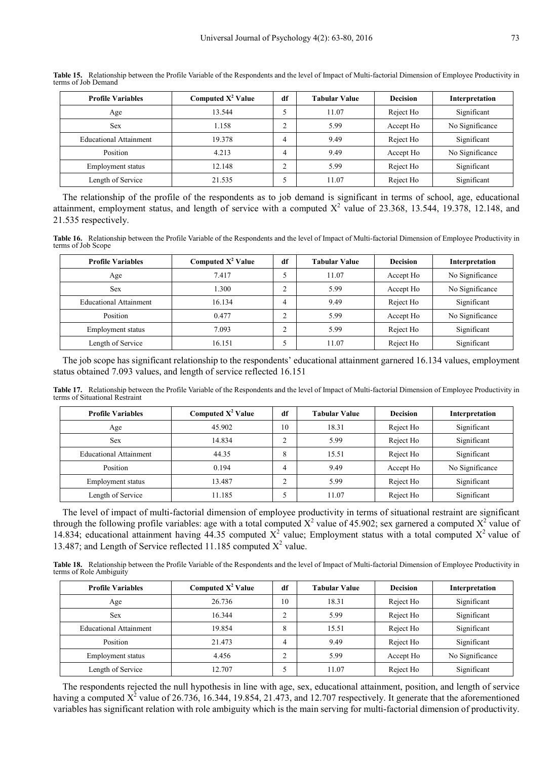| <b>Profile Variables</b>      | Computed $X^2$ Value | df             | <b>Tabular Value</b> | <b>Decision</b> | Interpretation  |
|-------------------------------|----------------------|----------------|----------------------|-----------------|-----------------|
| Age                           | 13.544               |                | 11.07                | Reject Ho       | Significant     |
| <b>Sex</b>                    | 1.158                | $\sim$         | 5.99                 | Accept Ho       | No Significance |
| <b>Educational Attainment</b> | 19.378               | $\overline{4}$ | 9.49                 | Reject Ho       | Significant     |
| Position                      | 4.213                | $\overline{4}$ | 9.49                 | Accept Ho       | No Significance |
| Employment status             | 12.148               | $\sim$         | 5.99                 | Reject Ho       | Significant     |
| Length of Service             | 21.535               |                | 11.07                | Reject Ho       | Significant     |

**Table 15.** Relationship between the Profile Variable of the Respondents and the level of Impact of Multi-factorial Dimension of Employee Productivity in terms of Job Demand

The relationship of the profile of the respondents as to job demand is significant in terms of school, age, educational attainment, employment status, and length of service with a computed  $X^2$  value of 23.368, 13.544, 19.378, 12.148, and 21.535 respectively.

**Table 16.** Relationship between the Profile Variable of the Respondents and the level of Impact of Multi-factorial Dimension of Employee Productivity in terms of Job Scope

| <b>Profile Variables</b>      | Computed $X^2$ Value | df     | <b>Tabular Value</b> | <b>Decision</b> | Interpretation  |
|-------------------------------|----------------------|--------|----------------------|-----------------|-----------------|
| Age                           | 7.417                |        | 11.07                | Accept Ho       | No Significance |
| <b>Sex</b>                    | 1.300                | ◠      | 5.99                 | Accept Ho       | No Significance |
| <b>Educational Attainment</b> | 16.134               |        | 9.49                 | Reject Ho       | Significant     |
| Position                      | 0.477                | $\sim$ | 5.99                 | Accept Ho       | No Significance |
| Employment status             | 7.093                | $\sim$ | 5.99                 | Reject Ho       | Significant     |
| Length of Service             | 16.151               |        | 11.07                | Reject Ho       | Significant     |

The job scope has significant relationship to the respondents' educational attainment garnered 16.134 values, employment status obtained 7.093 values, and length of service reflected 16.151

**Table 17.** Relationship between the Profile Variable of the Respondents and the level of Impact of Multi-factorial Dimension of Employee Productivity in terms of Situational Restraint

| <b>Profile Variables</b>      | Computed $X^2$ Value | df | <b>Tabular Value</b> | <b>Decision</b> | Interpretation  |
|-------------------------------|----------------------|----|----------------------|-----------------|-----------------|
| Age                           | 45.902               | 10 | 18.31                | Reject Ho       | Significant     |
| <b>Sex</b>                    | 14.834               |    | 5.99                 | Reject Ho       | Significant     |
| <b>Educational Attainment</b> | 44.35                | 8  | 15.51                | Reject Ho       | Significant     |
| Position                      | 0.194                | 4  | 9.49                 | Accept Ho       | No Significance |
| Employment status             | 13.487               | ◠  | 5.99                 | Reject Ho       | Significant     |
| Length of Service             | 11.185               |    | 11.07                | Reject Ho       | Significant     |

The level of impact of multi-factorial dimension of employee productivity in terms of situational restraint are significant through the following profile variables: age with a total computed  $X^2$  value of 45.902; sex garnered a computed  $X^2$  value of 14.834; educational attainment having  $44.35$  computed  $X^2$  value; Employment status with a total computed  $X^2$  value of 13.487; and Length of Service reflected 11.185 computed  $X^2$  value.

**Table 18.** Relationship between the Profile Variable of the Respondents and the level of Impact of Multi-factorial Dimension of Employee Productivity in terms of Role Ambiguity

| <b>Profile Variables</b>      | Computed $X^2$ Value | df     | <b>Tabular Value</b> | <b>Decision</b> | Interpretation  |
|-------------------------------|----------------------|--------|----------------------|-----------------|-----------------|
| Age                           | 26.736               | 10     | 18.31                | Reject Ho       | Significant     |
| <b>Sex</b>                    | 16.344               | ◠      | 5.99                 | Reject Ho       | Significant     |
| <b>Educational Attainment</b> | 19.854               | 8      | 15.51                | Reject Ho       | Significant     |
| Position                      | 21.473               | 4      | 9.49                 | Reject Ho       | Significant     |
| Employment status             | 4.456                | $\sim$ | 5.99                 | Accept Ho       | No Significance |
| Length of Service             | 12.707               |        | 11.07                | Reject Ho       | Significant     |

The respondents rejected the null hypothesis in line with age, sex, educational attainment, position, and length of service having a computed  $X^2$  value of 26.736, 16.344, 19.854, 21.473, and 12.707 respectively. It generate that the aforementioned variables has significant relation with role ambiguity which is the main serving for multi-factorial dimension of productivity.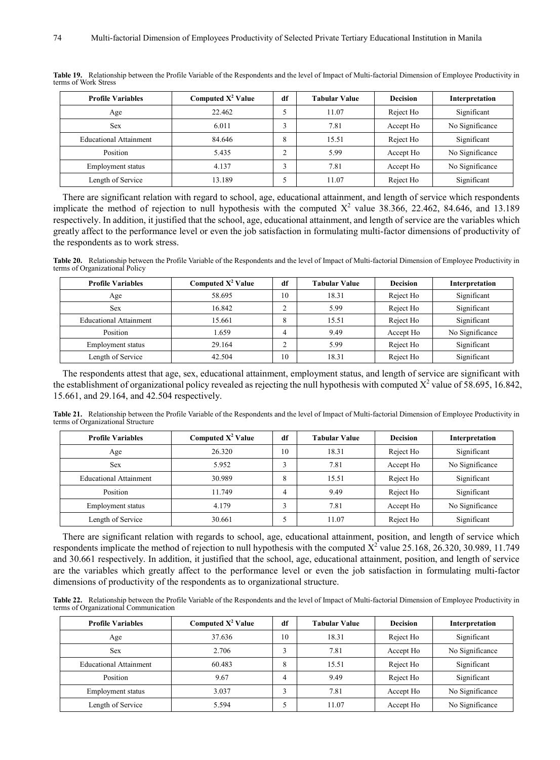| <b>Profile Variables</b>      | Computed $X^2$ Value | df | Tabular Value | <b>Decision</b> | Interpretation  |
|-------------------------------|----------------------|----|---------------|-----------------|-----------------|
| Age                           | 22.462               | э  | 11.07         | Reject Ho       | Significant     |
| <b>Sex</b>                    | 6.011                | c  | 7.81          | Accept Ho       | No Significance |
| <b>Educational Attainment</b> | 84.646               | 8  | 15.51         | Reject Ho       | Significant     |
| Position                      | 5.435                | ◠  | 5.99          | Accept Ho       | No Significance |
| Employment status             | 4.137                |    | 7.81          | Accept Ho       | No Significance |
| Length of Service             | 13.189               |    | 11.07         | Reject Ho       | Significant     |

**Table 19.** Relationship between the Profile Variable of the Respondents and the level of Impact of Multi-factorial Dimension of Employee Productivity in terms of Work Stress

There are significant relation with regard to school, age, educational attainment, and length of service which respondents implicate the method of rejection to null hypothesis with the computed  $X^2$  value 38.366, 22.462, 84.646, and 13.189 respectively. In addition, it justified that the school, age, educational attainment, and length of service are the variables which greatly affect to the performance level or even the job satisfaction in formulating multi-factor dimensions of productivity of the respondents as to work stress.

**Table 20.** Relationship between the Profile Variable of the Respondents and the level of Impact of Multi-factorial Dimension of Employee Productivity in terms of Organizational Policy

| <b>Profile Variables</b>      | Computed $X^2$ Value | df | <b>Tabular Value</b> | <b>Decision</b> | Interpretation  |
|-------------------------------|----------------------|----|----------------------|-----------------|-----------------|
| Age                           | 58.695               | 10 | 18.31                | Reject Ho       | Significant     |
| <b>Sex</b>                    | 16.842               |    | 5.99                 | Reject Ho       | Significant     |
| <b>Educational Attainment</b> | 15.661               | 8  | 15.51                | Reject Ho       | Significant     |
| Position                      | 1.659                | Λ  | 9.49                 | Accept Ho       | No Significance |
| Employment status             | 29.164               |    | 5.99                 | Reject Ho       | Significant     |
| Length of Service             | 42.504               | 10 | 18.31                | Reject Ho       | Significant     |

The respondents attest that age, sex, educational attainment, employment status, and length of service are significant with the establishment of organizational policy revealed as rejecting the null hypothesis with computed  $X^2$  value of 58.695, 16.842, 15.661, and 29.164, and 42.504 respectively.

**Table 21.** Relationship between the Profile Variable of the Respondents and the level of Impact of Multi-factorial Dimension of Employee Productivity in terms of Organizational Structure

| <b>Profile Variables</b>      | Computed $X^2$ Value | df             | <b>Tabular Value</b> | <b>Decision</b> | Interpretation  |
|-------------------------------|----------------------|----------------|----------------------|-----------------|-----------------|
| Age                           | 26.320               | 10             | 18.31                | Reject Ho       | Significant     |
| <b>Sex</b>                    | 5.952                | $\sim$         | 7.81                 | Accept Ho       | No Significance |
| <b>Educational Attainment</b> | 30.989               | 8              | 15.51                | Reject Ho       | Significant     |
| Position                      | 11.749               | $\overline{4}$ | 9.49                 | Reject Ho       | Significant     |
| Employment status             | 4.179                | $\sim$         | 7.81                 | Accept Ho       | No Significance |
| Length of Service             | 30.661               |                | 11.07                | Reject Ho       | Significant     |

There are significant relation with regards to school, age, educational attainment, position, and length of service which respondents implicate the method of rejection to null hypothesis with the computed  $X^2$  value 25.168, 26.320, 30.989, 11.749 and 30.661 respectively. In addition, it justified that the school, age, educational attainment, position, and length of service are the variables which greatly affect to the performance level or even the job satisfaction in formulating multi-factor dimensions of productivity of the respondents as to organizational structure.

**Table 22.** Relationship between the Profile Variable of the Respondents and the level of Impact of Multi-factorial Dimension of Employee Productivity in terms of Organizational Communication

| Computed $X^2$ Value<br><b>Profile Variables</b> |        | df | <b>Tabular Value</b> | <b>Decision</b> | Interpretation  |
|--------------------------------------------------|--------|----|----------------------|-----------------|-----------------|
| Age                                              | 37.636 | 10 | 18.31                | Reject Ho       | Significant     |
| <b>Sex</b>                                       | 2.706  |    | 7.81                 | Accept Ho       | No Significance |
| <b>Educational Attainment</b>                    | 60.483 | 8  | 15.51                | Reject Ho       | Significant     |
| Position                                         | 9.67   | 4  | 9.49                 | Reject Ho       | Significant     |
| Employment status                                | 3.037  |    | 7.81                 | Accept Ho       | No Significance |
| Length of Service                                | 5.594  |    | 11.07                | Accept Ho       | No Significance |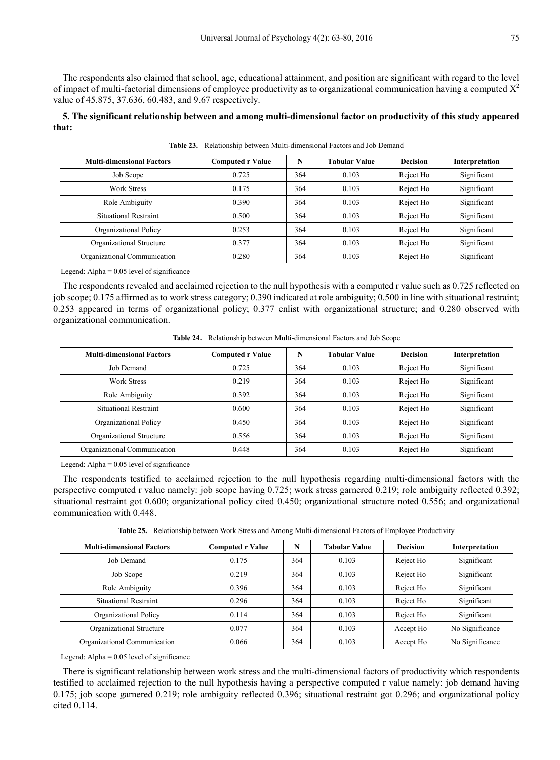The respondents also claimed that school, age, educational attainment, and position are significant with regard to the level of impact of multi-factorial dimensions of employee productivity as to organizational communication having a computed  $X^2$ value of 45.875, 37.636, 60.483, and 9.67 respectively.

**5. The significant relationship between and among multi-dimensional factor on productivity of this study appeared that:**

| <b>Multi-dimensional Factors</b> | <b>Computed r Value</b> | N   | <b>Tabular Value</b> | <b>Decision</b> | Interpretation             |  |
|----------------------------------|-------------------------|-----|----------------------|-----------------|----------------------------|--|
| Job Scope                        | 0.725                   | 364 | 0.103                | Reject Ho       | Significant                |  |
| <b>Work Stress</b>               | 0.175                   | 364 | 0.103                | Reject Ho       | Significant                |  |
| Role Ambiguity                   | 0.390                   | 364 | 0.103                | Reject Ho       | Significant<br>Significant |  |
| <b>Situational Restraint</b>     | 0.500                   | 364 | 0.103                | Reject Ho       |                            |  |
| Organizational Policy            | 0.253                   | 364 | 0.103                | Reject Ho       | Significant                |  |
| Organizational Structure         | 0.377                   | 364 | 0.103                | Reject Ho       | Significant                |  |
| Organizational Communication     | 0.280                   | 364 | 0.103                | Reject Ho       | Significant                |  |

**Table 23.** Relationship between Multi-dimensional Factors and Job Demand

Legend: Alpha  $= 0.05$  level of significance

The respondents revealed and acclaimed rejection to the null hypothesis with a computed r value such as 0.725 reflected on job scope; 0.175 affirmed as to work stress category; 0.390 indicated at role ambiguity; 0.500 in line with situational restraint; 0.253 appeared in terms of organizational policy; 0.377 enlist with organizational structure; and 0.280 observed with organizational communication.

| <b>Multi-dimensional Factors</b> | <b>Computed r Value</b> | N   | Tabular Value | <b>Decision</b> | Interpretation             |  |
|----------------------------------|-------------------------|-----|---------------|-----------------|----------------------------|--|
| Job Demand                       | 0.725                   | 364 | 0.103         | Reject Ho       | Significant                |  |
| Work Stress                      | 0.219                   | 364 | 0.103         | Reject Ho       | Significant                |  |
| Role Ambiguity                   | 0.392                   | 364 | 0.103         | Reject Ho       | Significant<br>Significant |  |
| Situational Restraint            | 0.600                   | 364 | 0.103         | Reject Ho       |                            |  |
| Organizational Policy            | 0.450                   | 364 | 0.103         | Reject Ho       | Significant                |  |
| Organizational Structure         | 0.556                   | 364 | 0.103         | Reject Ho       | Significant                |  |
| Organizational Communication     | 0.448                   | 364 | 0.103         | Reject Ho       | Significant                |  |

**Table 24.** Relationship between Multi-dimensional Factors and Job Scope

Legend: Alpha  $= 0.05$  level of significance

The respondents testified to acclaimed rejection to the null hypothesis regarding multi-dimensional factors with the perspective computed r value namely: job scope having 0.725; work stress garnered 0.219; role ambiguity reflected 0.392; situational restraint got 0.600; organizational policy cited 0.450; organizational structure noted 0.556; and organizational communication with 0.448.

**Table 25.** Relationship between Work Stress and Among Multi-dimensional Factors of Employee Productivity

| <b>Multi-dimensional Factors</b> | <b>Computed r Value</b> | N   | Tabular Value | <b>Decision</b> | Interpretation  |
|----------------------------------|-------------------------|-----|---------------|-----------------|-----------------|
| Job Demand                       | 0.175                   | 364 | 0.103         | Reject Ho       | Significant     |
| Job Scope                        | 0.219                   | 364 | 0.103         | Reject Ho       | Significant     |
| Role Ambiguity                   | 0.396                   | 364 | 0.103         | Reject Ho       | Significant     |
| <b>Situational Restraint</b>     | 0.296                   | 364 | 0.103         | Reject Ho       | Significant     |
| Organizational Policy            | 0.114                   | 364 | 0.103         | Reject Ho       | Significant     |
| Organizational Structure         | 0.077                   | 364 | 0.103         | Accept Ho       | No Significance |
| Organizational Communication     | 0.066                   | 364 | 0.103         | Accept Ho       | No Significance |

Legend: Alpha  $= 0.05$  level of significance

There is significant relationship between work stress and the multi-dimensional factors of productivity which respondents testified to acclaimed rejection to the null hypothesis having a perspective computed r value namely: job demand having 0.175; job scope garnered 0.219; role ambiguity reflected 0.396; situational restraint got 0.296; and organizational policy cited 0.114.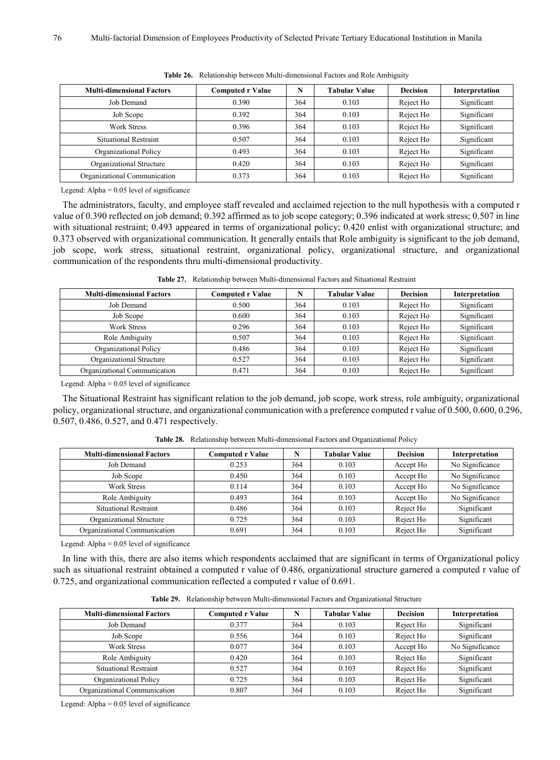| <b>Multi-dimensional Factors</b> | <b>Computed r Value</b> | N   | <b>Tabular Value</b> | <b>Decision</b> | Interpretation                            |  |
|----------------------------------|-------------------------|-----|----------------------|-----------------|-------------------------------------------|--|
| Job Demand                       | 0.390                   | 364 | 0.103                | Reject Ho       | Significant                               |  |
| Job Scope                        | 0.392                   | 364 | 0.103                | Reject Ho       | Significant                               |  |
| Work Stress                      | 0.396                   | 364 | 0.103                | Reject Ho       | Significant<br>Significant<br>Significant |  |
| Situational Restraint            | 0.507                   | 364 | 0.103                | Reject Ho       |                                           |  |
| Organizational Policy            | 0.493                   | 364 | 0.103                | Reject Ho       |                                           |  |
| Organizational Structure         | 0.420                   | 364 | 0.103                | Reject Ho       | Significant                               |  |
| Organizational Communication     | 0.373                   | 364 | 0.103                | Reject Ho       | Significant                               |  |

**Table 26.** Relationship between Multi-dimensional Factors and Role Ambiguity

Legend: Alpha  $= 0.05$  level of significance

The administrators, faculty, and employee staff revealed and acclaimed rejection to the null hypothesis with a computed r value of 0.390 reflected on job demand; 0.392 affirmed as to job scope category; 0.396 indicated at work stress; 0.507 in line with situational restraint; 0.493 appeared in terms of organizational policy; 0.420 enlist with organizational structure; and 0.373 observed with organizational communication. It generally entails that Role ambiguity is significant to the job demand, job scope, work stress, situational restraint, organizational policy, organizational structure, and organizational communication of the respondents thru multi-dimensional productivity.

| <b>Multi-dimensional Factors</b> | <b>Computed r Value</b> |     | <b>Tabular Value</b> | <b>Decision</b> | Interpretation |
|----------------------------------|-------------------------|-----|----------------------|-----------------|----------------|
| Job Demand                       | 0.500                   | 364 | 0.103                | Reject Ho       | Significant    |
| Job Scope                        | 0.600                   | 364 | 0.103                | Reject Ho       | Significant    |
| <b>Work Stress</b>               | 0.296                   | 364 | 0.103                | Reject Ho       | Significant    |
| Role Ambiguity                   | 0.507                   | 364 | 0.103                | Reject Ho       | Significant    |
| Organizational Policy            | 0.486                   | 364 | 0.103                | Reject Ho       | Significant    |
| Organizational Structure         | 0.527                   | 364 | 0.103                | Reject Ho       | Significant    |
| Organizational Communication     | 0.471                   | 364 | 0.103                | Reject Ho       | Significant    |

**Table 27.** Relationship between Multi-dimensional Factors and Situational Restraint

Legend: Alpha  $= 0.05$  level of significance

The Situational Restraint has significant relation to the job demand, job scope, work stress, role ambiguity, organizational policy, organizational structure, and organizational communication with a preference computed r value of 0.500, 0.600, 0.296, 0.507, 0.486, 0.527, and 0.471 respectively.

| <b>Multi-dimensional Factors</b> | <b>Computed r Value</b> | N   | <b>Tabular Value</b> | <b>Decision</b> | Interpretation  |
|----------------------------------|-------------------------|-----|----------------------|-----------------|-----------------|
| Job Demand                       | 0.253                   | 364 | 0.103                | Accept Ho       | No Significance |
| Job Scope                        | 0.450                   | 364 | 0.103                | Accept Ho       | No Significance |
| <b>Work Stress</b>               | 0.114                   | 364 | 0.103                | Accept Ho       | No Significance |
| Role Ambiguity                   | 0.493                   | 364 | 0.103                | Accept Ho       | No Significance |
| <b>Situational Restraint</b>     | 0.486                   | 364 | 0.103                | Reject Ho       | Significant     |
| Organizational Structure         | 0.725                   | 364 | 0.103                | Reject Ho       | Significant     |
| Organizational Communication     | 0.691                   | 364 | 0.103                | Reject Ho       | Significant     |

**Table 28.** Relationship between Multi-dimensional Factors and Organizational Policy

Legend: Alpha  $= 0.05$  level of significance

In line with this, there are also items which respondents acclaimed that are significant in terms of Organizational policy such as situational restraint obtained a computed r value of 0.486, organizational structure garnered a computed r value of 0.725, and organizational communication reflected a computed r value of 0.691.

| <b>Multi-dimensional Factors</b> | <b>Computed r Value</b> |     | <b>Tabular Value</b> | <b>Decision</b> | Interpretation  |
|----------------------------------|-------------------------|-----|----------------------|-----------------|-----------------|
| Job Demand                       | 0.377                   | 364 | 0.103                | Reject Ho       | Significant     |
| Job Scope                        | 0.556                   | 364 | 0.103                | Reject Ho       | Significant     |
| <b>Work Stress</b>               | 0.077                   | 364 | 0.103                | Accept Ho       | No Significance |
| Role Ambiguity                   | 0.420                   | 364 | 0.103                | Reject Ho       | Significant     |
| <b>Situational Restraint</b>     | 0.527                   | 364 | 0.103                | Reject Ho       | Significant     |
| Organizational Policy            | 0.725                   | 364 | 0.103                | Reject Ho       | Significant     |
| Organizational Communication     | 0.807                   | 364 | 0.103                | Reject Ho       | Significant     |

**Table 29.** Relationship between Multi-dimensional Factors and Organizational Structure

Legend: Alpha  $= 0.05$  level of significance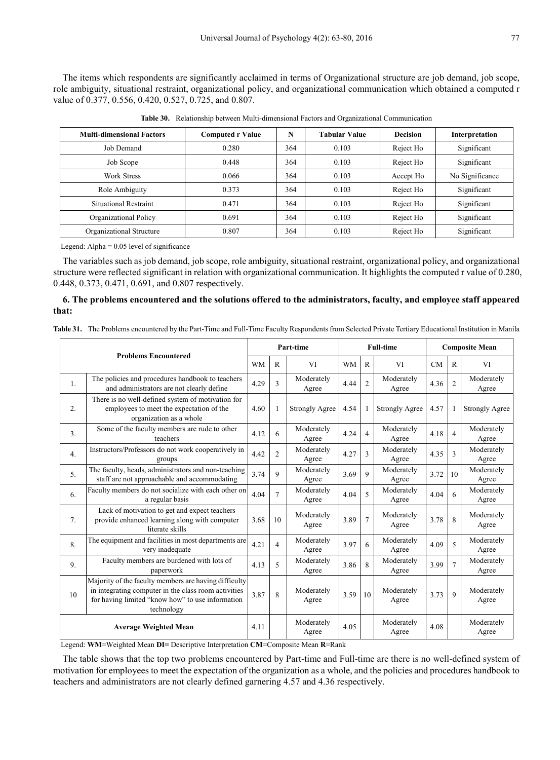The items which respondents are significantly acclaimed in terms of Organizational structure are job demand, job scope, role ambiguity, situational restraint, organizational policy, and organizational communication which obtained a computed r value of 0.377, 0.556, 0.420, 0.527, 0.725, and 0.807.

| <b>Multi-dimensional Factors</b> | <b>Computed r Value</b> | N   | <b>Tabular Value</b> | <b>Decision</b> | Interpretation                                |  |
|----------------------------------|-------------------------|-----|----------------------|-----------------|-----------------------------------------------|--|
| Job Demand                       | 0.280                   | 364 | 0.103                | Reject Ho       | Significant                                   |  |
| Job Scope                        | 0.448                   | 364 | 0.103                | Reject Ho       | Significant                                   |  |
| <b>Work Stress</b>               | 0.066                   | 364 | 0.103                | Accept Ho       | No Significance<br>Significant<br>Significant |  |
| Role Ambiguity                   | 0.373                   | 364 | 0.103                | Reject Ho       |                                               |  |
| <b>Situational Restraint</b>     | 0.471                   | 364 | 0.103                | Reject Ho       |                                               |  |
| Organizational Policy            | 0.691                   | 364 | 0.103                | Reject Ho       | Significant                                   |  |
| Organizational Structure         | 0.807                   | 364 | 0.103                | Reject Ho       | Significant                                   |  |

**Table 30.** Relationship between Multi-dimensional Factors and Organizational Communication

Legend: Alpha  $= 0.05$  level of significance

The variables such as job demand, job scope, role ambiguity, situational restraint, organizational policy, and organizational structure were reflected significant in relation with organizational communication. It highlights the computed r value of 0.280, 0.448, 0.373, 0.471, 0.691, and 0.807 respectively.

#### **6. The problems encountered and the solutions offered to the administrators, faculty, and employee staff appeared that:**

|                |                                                                                                                                                                                 | Part-time |                |                       |           | <b>Full-time</b> | <b>Composite Mean</b> |           |                |                       |
|----------------|---------------------------------------------------------------------------------------------------------------------------------------------------------------------------------|-----------|----------------|-----------------------|-----------|------------------|-----------------------|-----------|----------------|-----------------------|
|                | <b>Problems Encountered</b>                                                                                                                                                     | <b>WM</b> | R              | VI                    | <b>WM</b> | $\mathbb{R}$     | VI                    | <b>CM</b> | $\mathbb{R}$   | VI                    |
| $\mathbf{1}$ . | The policies and procedures handbook to teachers<br>and administrators are not clearly define                                                                                   | 4.29      | 3              | Moderately<br>Agree   | 4.44      | $\overline{2}$   | Moderately<br>Agree   | 4.36      | $\overline{c}$ | Moderately<br>Agree   |
| 2.             | There is no well-defined system of motivation for<br>employees to meet the expectation of the<br>organization as a whole                                                        | 4.60      | 1              | <b>Strongly Agree</b> | 4.54      |                  | <b>Strongly Agree</b> | 4.57      |                | <b>Strongly Agree</b> |
| 3 <sub>1</sub> | Some of the faculty members are rude to other<br>teachers                                                                                                                       | 4.12      | 6              | Moderately<br>Agree   | 4.24      | $\overline{4}$   | Moderately<br>Agree   | 4.18      | $\overline{4}$ | Moderately<br>Agree   |
| 4.             | Instructors/Professors do not work cooperatively in<br>groups                                                                                                                   | 4.42      | $\overline{2}$ | Moderately<br>Agree   | 4.27      | 3                | Moderately<br>Agree   | 4.35      | 3              | Moderately<br>Agree   |
| 5.             | The faculty, heads, administrators and non-teaching<br>staff are not approachable and accommodating                                                                             | 3.74      | 9              | Moderately<br>Agree   | 3.69      | 9                | Moderately<br>Agree   | 3.72      | 10             | Moderately<br>Agree   |
| 6.             | Faculty members do not socialize with each other on<br>a regular basis                                                                                                          | 4.04      | $\overline{7}$ | Moderately<br>Agree   | 4.04      | 5                | Moderately<br>Agree   | 4.04      | 6              | Moderately<br>Agree   |
| 7 <sub>1</sub> | Lack of motivation to get and expect teachers<br>provide enhanced learning along with computer<br>literate skills                                                               | 3.68      | 10             | Moderately<br>Agree   | 3.89      | $\overline{7}$   | Moderately<br>Agree   | 3.78      | 8              | Moderately<br>Agree   |
| 8.             | The equipment and facilities in most departments are<br>very inadequate                                                                                                         | 4.21      | $\overline{4}$ | Moderately<br>Agree   | 3.97      | 6                | Moderately<br>Agree   | 4.09      | 5              | Moderately<br>Agree   |
| 9.             | Faculty members are burdened with lots of<br>paperwork                                                                                                                          | 4.13      | 5              | Moderately<br>Agree   | 3.86      | 8                | Moderately<br>Agree   | 3.99      | $\overline{7}$ | Moderately<br>Agree   |
| 10             | Majority of the faculty members are having difficulty<br>in integrating computer in the class room activities<br>for having limited "know how" to use information<br>technology | 3.87      | 8              | Moderately<br>Agree   | 3.59      | 10               | Moderately<br>Agree   | 3.73      | $\mathbf Q$    | Moderately<br>Agree   |
|                | <b>Average Weighted Mean</b>                                                                                                                                                    | 4.11      |                | Moderately<br>Agree   | 4.05      |                  | Moderately<br>Agree   | 4.08      |                | Moderately<br>Agree   |

**Table 31.** The Problems encountered by the Part-Time and Full-Time Faculty Respondents from Selected Private Tertiary Educational Institution in Manila

Legend: **WM**=Weighted Mean **DI=** Descriptive Interpretation **CM**=Composite Mean **R**=Rank

The table shows that the top two problems encountered by Part-time and Full-time are there is no well-defined system of motivation for employees to meet the expectation of the organization as a whole, and the policies and procedures handbook to teachers and administrators are not clearly defined garnering 4.57 and 4.36 respectively.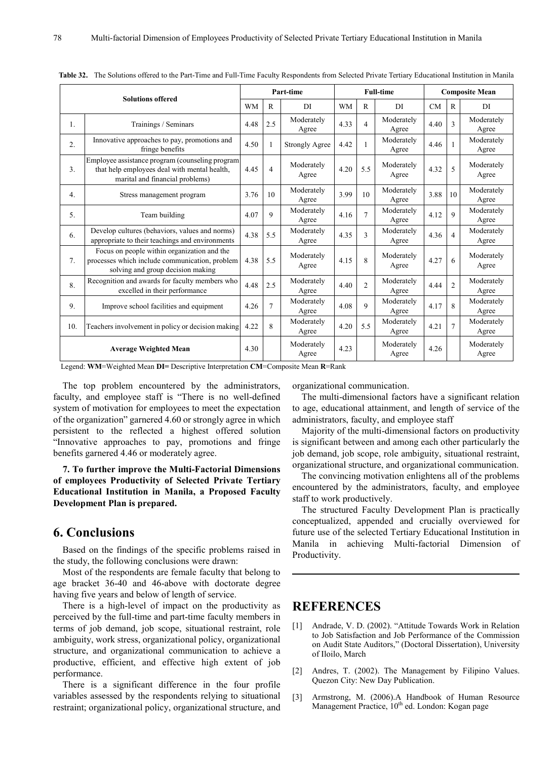|                              | <b>Solutions offered</b>                                                                                                            |           |             | Part-time             | <b>Full-time</b> |                |                     | <b>Composite Mean</b> |                |                     |
|------------------------------|-------------------------------------------------------------------------------------------------------------------------------------|-----------|-------------|-----------------------|------------------|----------------|---------------------|-----------------------|----------------|---------------------|
|                              |                                                                                                                                     | <b>WM</b> | R           | DI                    | <b>WM</b>        | R              | DI                  | CM                    | $\mathbf{R}$   | DI                  |
| 1.                           | Trainings / Seminars                                                                                                                | 4.48      | 2.5         | Moderately<br>Agree   | 4.33             | $\overline{4}$ | Moderately<br>Agree | 4.40                  | 3              | Moderately<br>Agree |
| $\overline{2}$ .             | Innovative approaches to pay, promotions and<br>fringe benefits                                                                     | 4.50      |             | <b>Strongly Agree</b> | 4.42             |                | Moderately<br>Agree | 4.46                  |                | Moderately<br>Agree |
| 3.                           | Employee assistance program (counseling program)<br>that help employees deal with mental health,<br>marital and financial problems) | 4.45      | 4           | Moderately<br>Agree   | 4.20             | 5.5            | Moderately<br>Agree | 4.32                  | 5              | Moderately<br>Agree |
| 4 <sup>1</sup>               | Stress management program                                                                                                           | 3.76      | 10          | Moderately<br>Agree   | 3.99             | 10             | Moderately<br>Agree | 3.88                  | 10             | Moderately<br>Agree |
| 5.                           | Team building                                                                                                                       | 4.07      | $\mathbf Q$ | Moderately<br>Agree   | 4.16             | $\overline{7}$ | Moderately<br>Agree | 4.12                  | $\mathbf Q$    | Moderately<br>Agree |
| 6.                           | Develop cultures (behaviors, values and norms)<br>appropriate to their teachings and environments                                   | 4.38      | 5.5         | Moderately<br>Agree   | 4.35             | $\mathcal{R}$  | Moderately<br>Agree | 4.36                  | $\overline{4}$ | Moderately<br>Agree |
| 7.                           | Focus on people within organization and the<br>processes which include communication, problem<br>solving and group decision making  | 4.38      | 5.5         | Moderately<br>Agree   | 4.15             | $\mathbf{8}$   | Moderately<br>Agree | 4.27                  | 6              | Moderately<br>Agree |
| 8.                           | Recognition and awards for faculty members who<br>excelled in their performance                                                     | 4.48      | 2.5         | Moderately<br>Agree   | 4.40             | $\overline{2}$ | Moderately<br>Agree | 4.44                  | $\overline{2}$ | Moderately<br>Agree |
| 9.                           | Improve school facilities and equipment                                                                                             | 4.26      | 7           | Moderately<br>Agree   | 4.08             | $\mathbf Q$    | Moderately<br>Agree | 4.17                  | $\mathbf{8}$   | Moderately<br>Agree |
| 10.                          | Teachers involvement in policy or decision making                                                                                   | 4.22      | 8           | Moderately<br>Agree   | 4.20             | 5.5            | Moderately<br>Agree | 4.21                  | $\overline{7}$ | Moderately<br>Agree |
| <b>Average Weighted Mean</b> |                                                                                                                                     | 4.30      |             | Moderately<br>Agree   | 4.23             |                | Moderately<br>Agree | 4.26                  |                | Moderately<br>Agree |

**Table 32.** The Solutions offered to the Part-Time and Full-Time Faculty Respondents from Selected Private Tertiary Educational Institution in Manila

Legend: **WM**=Weighted Mean **DI=** Descriptive Interpretation **CM**=Composite Mean **R**=Rank

The top problem encountered by the administrators, faculty, and employee staff is "There is no well-defined system of motivation for employees to meet the expectation of the organization" garnered 4.60 or strongly agree in which persistent to the reflected a highest offered solution "Innovative approaches to pay, promotions and fringe benefits garnered 4.46 or moderately agree.

**7. To further improve the Multi-Factorial Dimensions of employees Productivity of Selected Private Tertiary Educational Institution in Manila, a Proposed Faculty Development Plan is prepared.**

## **6. Conclusions**

Based on the findings of the specific problems raised in the study, the following conclusions were drawn:

Most of the respondents are female faculty that belong to age bracket 36-40 and 46-above with doctorate degree having five years and below of length of service.

There is a high-level of impact on the productivity as perceived by the full-time and part-time faculty members in terms of job demand, job scope, situational restraint, role ambiguity, work stress, organizational policy, organizational structure, and organizational communication to achieve a productive, efficient, and effective high extent of job performance.

There is a significant difference in the four profile variables assessed by the respondents relying to situational restraint; organizational policy, organizational structure, and organizational communication.

The multi-dimensional factors have a significant relation to age, educational attainment, and length of service of the administrators, faculty, and employee staff

Majority of the multi-dimensional factors on productivity is significant between and among each other particularly the job demand, job scope, role ambiguity, situational restraint, organizational structure, and organizational communication.

The convincing motivation enlightens all of the problems encountered by the administrators, faculty, and employee staff to work productively.

The structured Faculty Development Plan is practically conceptualized, appended and crucially overviewed for future use of the selected Tertiary Educational Institution in Manila in achieving Multi-factorial Dimension of Productivity.

# **REFERENCES**

- [1] Andrade, V. D. (2002). "Attitude Towards Work in Relation to Job Satisfaction and Job Performance of the Commission on Audit State Auditors," (Doctoral Dissertation), University of Iloilo, March
- [2] Andres, T. (2002). The Management by Filipino Values. Quezon City: New Day Publication.
- [3] Armstrong, M. (2006).A Handbook of Human Resource Management Practice,  $10<sup>th</sup>$  ed. London: Kogan page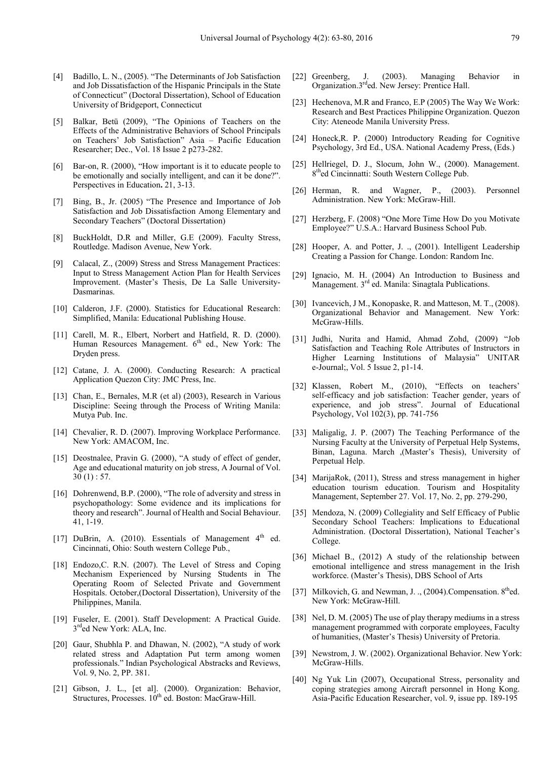- [4] Badillo, L. N., (2005). "The Determinants of Job Satisfaction and Job Dissatisfaction of the Hispanic Principals in the State of Connecticut" (Doctoral Dissertation), School of Education University of Bridgeport, Connecticut
- [5] Balkar, Betü (2009), "The Opinions of Teachers on the Effects of the Administrative Behaviors of School Principals on Teachers' Job Satisfaction" Asia – Pacific Education Researcher; Dec., Vol. 18 Issue 2 p273-282.
- [6] Bar-on, R. (2000), "How important is it to educate people to be emotionally and socially intelligent, and can it be done?". Perspectives in Education**.** 21, 3-13.
- [7] Bing, B., Jr. (2005) "The Presence and Importance of Job Satisfaction and Job Dissatisfaction Among Elementary and Secondary Teachers" (Doctoral Dissertation)
- [8] BuckHoldt, D.R and Miller, G.E (2009). Faculty Stress, Routledge. Madison Avenue, New York.
- [9] Calacal, Z., (2009) Stress and Stress Management Practices: Input to Stress Management Action Plan for Health Services Improvement. (Master's Thesis, De La Salle University-Dasmarinas.
- [10] Calderon, J.F. (2000). Statistics for Educational Research: Simplified, Manila: Educational Publishing House.
- [11] Carell, M. R., Elbert, Norbert and Hatfield, R. D. (2000). Human Resources Management.  $6<sup>th</sup>$  ed., New York: The Dryden press.
- [12] Catane, J. A. (2000). Conducting Research: A practical Application Quezon City: JMC Press, Inc.
- [13] Chan, E., Bernales, M.R (et al) (2003), Research in Various Discipline: Seeing through the Process of Writing Manila: Mutya Pub. Inc.
- [14] Chevalier, R. D. (2007). Improving Workplace Performance. New York: AMACOM, Inc.
- [15] Deostnalee, Pravin G. (2000), "A study of effect of gender, Age and educational maturity on job stress, A Journal of Vol.  $30(1): 57.$
- [16] Dohrenwend, B.P. (2000), "The role of adversity and stress in psychopathology: Some evidence and its implications for theory and research". Journal of Health and Social Behaviour. 41, 1-19.
- [17] DuBrin, A.  $(2010)$ . Essentials of Management  $4<sup>th</sup>$  ed. Cincinnati, Ohio: South western College Pub.,
- [18] Endozo, C. R.N. (2007). The Level of Stress and Coping Mechanism Experienced by Nursing Students in The Operating Room of Selected Private and Government Hospitals. October,(Doctoral Dissertation), University of the Philippines, Manila.
- [19] Fuseler, E. (2001). Staff Development: A Practical Guide. 3rded New York: ALA, Inc.
- [20] Gaur, Shubhla P. and Dhawan, N. (2002), "A study of work related stress and Adaptation Put term among women professionals." Indian Psychological Abstracks and Reviews, Vol. 9, No. 2, PP. 381.
- [21] Gibson, J. L., [et al]. (2000). Organization: Behavior, Structures, Processes.  $10^{th}$  ed. Boston: MacGraw-Hill.
- [22] Greenberg, J. (2003). Managing Behavior in Organization.3rded. New Jersey: Prentice Hall.
- [23] Hechenova, M.R and Franco, E.P (2005) The Way We Work: Research and Best Practices Philippine Organization. Quezon City: Ateneode Manila University Press.
- [24] Honeck, R. P. (2000) Introductory Reading for Cognitive Psychology, 3rd Ed., USA. National Academy Press, (Eds.)
- [25] Hellriegel, D. J., Slocum, John W., (2000). Management. 8thed Cincinnatti: South Western College Pub.
- [26] Herman, R. and Wagner, P., (2003). Personnel Administration. New York: McGraw-Hill.
- [27] Herzberg, F. (2008) "One More Time How Do you Motivate Employee?" U.S.A.: Harvard Business School Pub.
- [28] Hooper, A. and Potter, J. ., (2001). Intelligent Leadership Creating a Passion for Change. London: Random Inc.
- [29] Ignacio, M. H. (2004) An Introduction to Business and Management. 3<sup>rd</sup> ed. Manila: Sinagtala Publications.
- [30] Ivancevich, J.M., Konopaske, R. and Matteson, M. T., (2008). Organizational Behavior and Management. New York: McGraw-Hills.
- [31] Judhi, Nurita and Hamid, Ahmad Zohd, (2009) "Job Satisfaction and Teaching Role Attributes of Instructors in Higher Learning Institutions of Malaysia" UNITAR e-Journal;, Vol. 5 Issue 2, p1-14.
- [32] Klassen, Robert M., (2010), "Effects on teachers' self-efficacy and job satisfaction: Teacher gender, years of experience, and job stress". Journal of Educational Psychology, Vol 102(3), pp. 741-756
- [33] Maligalig, J. P. (2007) The Teaching Performance of the Nursing Faculty at the University of Perpetual Help Systems, Binan, Laguna. March ,(Master's Thesis), University of Perpetual Help.
- [34] MarijaRok, (2011), Stress and stress management in higher education tourism education. Tourism and Hospitality Management, September 27. Vol. 17, No. 2, pp. 279-290,
- [35] Mendoza, N. (2009) Collegiality and Self Efficacy of Public Secondary School Teachers: Implications to Educational Administration. (Doctoral Dissertation), National Teacher's College.
- [36] Michael B., (2012) A study of the relationship between emotional intelligence and stress management in the Irish workforce. (Master's Thesis), DBS School of Arts
- [37] Milkovich, G. and Newman, J. .,  $(2004)$ . Compensation.  $8<sup>th</sup>$ ed. New York: McGraw-Hill.
- [38] Nel, D. M. (2005) The use of play therapy mediums in a stress management programmed with corporate employees, Faculty of humanities, (Master's Thesis) University of Pretoria.
- [39] Newstrom, J. W. (2002). Organizational Behavior. New York: McGraw-Hills.
- [40] Ng Yuk Lin (2007), Occupational Stress, personality and coping strategies among Aircraft personnel in Hong Kong. Asia-Pacific Education Researcher, vol. 9, issue pp. 189-195